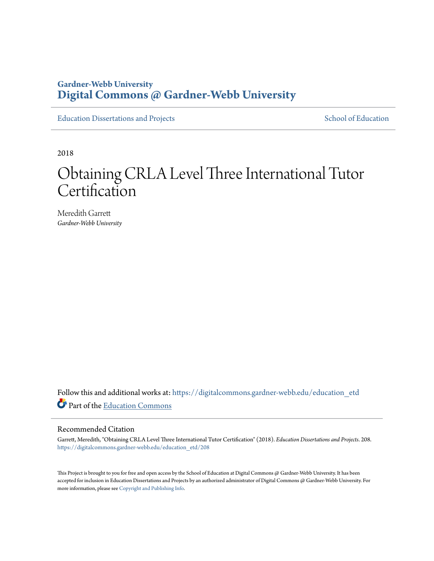## **Gardner-Webb University [Digital Commons @ Gardner-Webb University](https://digitalcommons.gardner-webb.edu?utm_source=digitalcommons.gardner-webb.edu%2Feducation_etd%2F208&utm_medium=PDF&utm_campaign=PDFCoverPages)**

[Education Dissertations and Projects](https://digitalcommons.gardner-webb.edu/education_etd?utm_source=digitalcommons.gardner-webb.edu%2Feducation_etd%2F208&utm_medium=PDF&utm_campaign=PDFCoverPages) [School of Education](https://digitalcommons.gardner-webb.edu/education?utm_source=digitalcommons.gardner-webb.edu%2Feducation_etd%2F208&utm_medium=PDF&utm_campaign=PDFCoverPages)

2018

# Obtaining CRLA Level Three International Tutor **Certification**

Meredith Garrett *Gardner-Webb University*

Follow this and additional works at: [https://digitalcommons.gardner-webb.edu/education\\_etd](https://digitalcommons.gardner-webb.edu/education_etd?utm_source=digitalcommons.gardner-webb.edu%2Feducation_etd%2F208&utm_medium=PDF&utm_campaign=PDFCoverPages) Part of the [Education Commons](http://network.bepress.com/hgg/discipline/784?utm_source=digitalcommons.gardner-webb.edu%2Feducation_etd%2F208&utm_medium=PDF&utm_campaign=PDFCoverPages)

#### Recommended Citation

Garrett, Meredith, "Obtaining CRLA Level Three International Tutor Certification" (2018). *Education Dissertations and Projects*. 208. [https://digitalcommons.gardner-webb.edu/education\\_etd/208](https://digitalcommons.gardner-webb.edu/education_etd/208?utm_source=digitalcommons.gardner-webb.edu%2Feducation_etd%2F208&utm_medium=PDF&utm_campaign=PDFCoverPages)

This Project is brought to you for free and open access by the School of Education at Digital Commons @ Gardner-Webb University. It has been accepted for inclusion in Education Dissertations and Projects by an authorized administrator of Digital Commons @ Gardner-Webb University. For more information, please see [Copyright and Publishing Info](https://digitalcommons.gardner-webb.edu/copyright_publishing.html).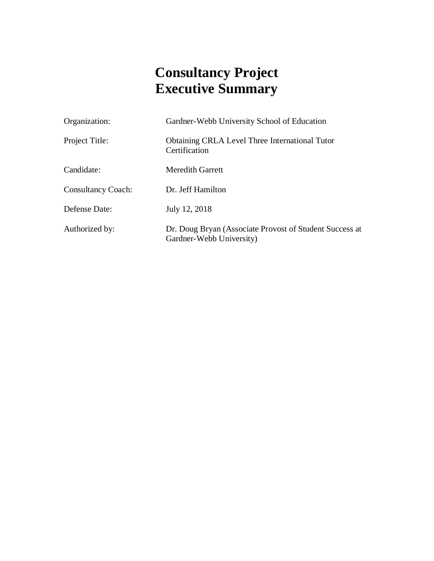# **Consultancy Project Executive Summary**

| Organization:             | Gardner-Webb University School of Education                                         |  |  |  |
|---------------------------|-------------------------------------------------------------------------------------|--|--|--|
| Project Title:            | <b>Obtaining CRLA Level Three International Tutor</b><br>Certification              |  |  |  |
| Candidate:                | <b>Meredith Garrett</b>                                                             |  |  |  |
| <b>Consultancy Coach:</b> | Dr. Jeff Hamilton                                                                   |  |  |  |
| Defense Date:             | July 12, 2018                                                                       |  |  |  |
| Authorized by:            | Dr. Doug Bryan (Associate Provost of Student Success at<br>Gardner-Webb University) |  |  |  |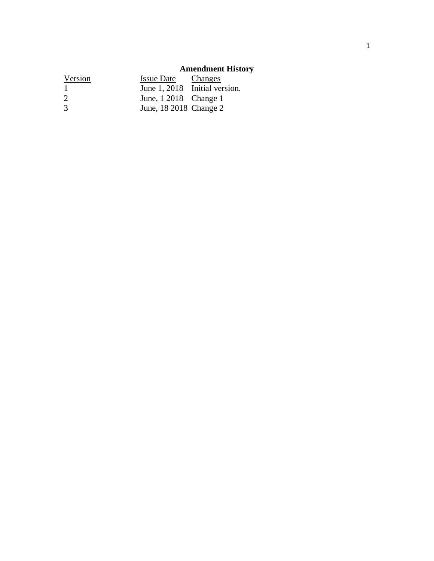# **Amendment History**

| Version | <b>Issue Date</b>      | Changes                       |
|---------|------------------------|-------------------------------|
| -1      |                        | June 1, 2018 Initial version. |
| 2       | June, 1 2018 Change 1  |                               |
| 3       | June, 18 2018 Change 2 |                               |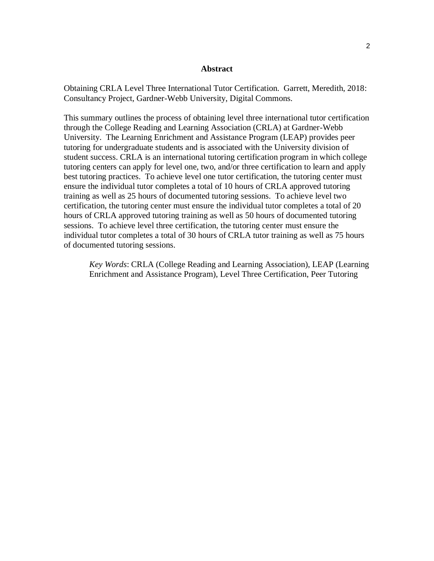#### **Abstract**

Obtaining CRLA Level Three International Tutor Certification. Garrett, Meredith, 2018: Consultancy Project, Gardner-Webb University, Digital Commons.

This summary outlines the process of obtaining level three international tutor certification through the College Reading and Learning Association (CRLA) at Gardner-Webb University. The Learning Enrichment and Assistance Program (LEAP) provides peer tutoring for undergraduate students and is associated with the University division of student success. CRLA is an international tutoring certification program in which college tutoring centers can apply for level one, two, and/or three certification to learn and apply best tutoring practices. To achieve level one tutor certification, the tutoring center must ensure the individual tutor completes a total of 10 hours of CRLA approved tutoring training as well as 25 hours of documented tutoring sessions. To achieve level two certification, the tutoring center must ensure the individual tutor completes a total of 20 hours of CRLA approved tutoring training as well as 50 hours of documented tutoring sessions. To achieve level three certification, the tutoring center must ensure the individual tutor completes a total of 30 hours of CRLA tutor training as well as 75 hours of documented tutoring sessions.

*Key Words*: CRLA (College Reading and Learning Association), LEAP (Learning Enrichment and Assistance Program), Level Three Certification, Peer Tutoring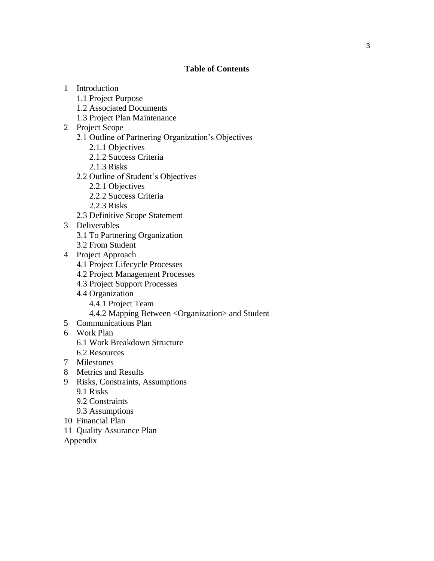#### **Table of Contents**

- 1 Introduction
	- 1.1 Project Purpose
	- 1.2 Associated Documents
	- 1.3 Project Plan Maintenance
- 2 Project Scope
	- 2.1 Outline of Partnering Organization's Objectives
		- 2.1.1 Objectives
		- 2.1.2 Success Criteria
		- 2.1.3 Risks
	- 2.2 Outline of Student's Objectives
		- 2.2.1 Objectives
		- 2.2.2 Success Criteria
		- 2.2.3 Risks
	- 2.3 Definitive Scope Statement
- 3 Deliverables
	- 3.1 To Partnering Organization
	- 3.2 From Student
- 4 Project Approach
	- 4.1 Project Lifecycle Processes
	- 4.2 Project Management Processes
	- 4.3 Project Support Processes
	- 4.4 Organization
		- 4.4.1 Project Team
		- 4.4.2 Mapping Between <Organization> and Student
- 5 Communications Plan
- 6 Work Plan
	- 6.1 Work Breakdown Structure
	- 6.2 Resources
- 7 Milestones
- 8 Metrics and Results
- 9 Risks, Constraints, Assumptions
	- 9.1 Risks
	- 9.2 Constraints
	- 9.3 Assumptions
- 10 Financial Plan
- 11 Quality Assurance Plan
- Appendix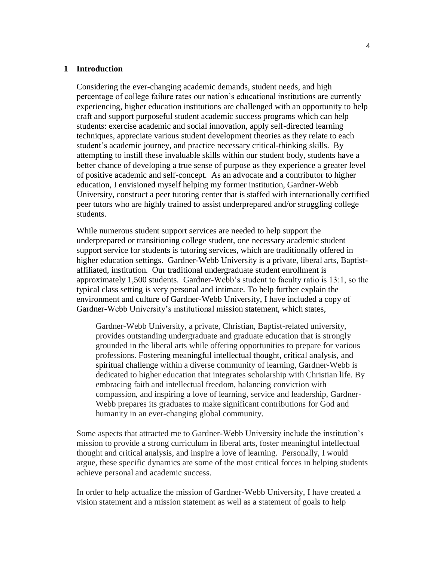#### **1 Introduction**

Considering the ever-changing academic demands, student needs, and high percentage of college failure rates our nation's educational institutions are currently experiencing, higher education institutions are challenged with an opportunity to help craft and support purposeful student academic success programs which can help students: exercise academic and social innovation, apply self-directed learning techniques, appreciate various student development theories as they relate to each student's academic journey, and practice necessary critical-thinking skills. By attempting to instill these invaluable skills within our student body, students have a better chance of developing a true sense of purpose as they experience a greater level of positive academic and self-concept. As an advocate and a contributor to higher education, I envisioned myself helping my former institution, Gardner-Webb University, construct a peer tutoring center that is staffed with internationally certified peer tutors who are highly trained to assist underprepared and/or struggling college students.

While numerous student support services are needed to help support the underprepared or transitioning college student, one necessary academic student support service for students is tutoring services, which are traditionally offered in higher education settings. Gardner-Webb University is a private, liberal arts, Baptistaffiliated, institution. Our traditional undergraduate student enrollment is approximately 1,500 students. Gardner-Webb's student to faculty ratio is 13:1, so the typical class setting is very personal and intimate. To help further explain the environment and culture of Gardner-Webb University, I have included a copy of Gardner-Webb University's institutional mission statement, which states,

Gardner-Webb University, a private, Christian, Baptist-related university, provides outstanding undergraduate and graduate education that is strongly grounded in the liberal arts while offering opportunities to prepare for various professions. Fostering meaningful intellectual thought, critical analysis, and spiritual challenge within a diverse community of learning, Gardner-Webb is dedicated to higher education that integrates scholarship with Christian life. By embracing faith and intellectual freedom, balancing conviction with compassion, and inspiring a love of learning, service and leadership, Gardner-Webb prepares its graduates to make significant contributions for God and humanity in an ever-changing global community.

Some aspects that attracted me to Gardner-Webb University include the institution's mission to provide a strong curriculum in liberal arts, foster meaningful intellectual thought and critical analysis, and inspire a love of learning. Personally, I would argue, these specific dynamics are some of the most critical forces in helping students achieve personal and academic success.

In order to help actualize the mission of Gardner-Webb University, I have created a vision statement and a mission statement as well as a statement of goals to help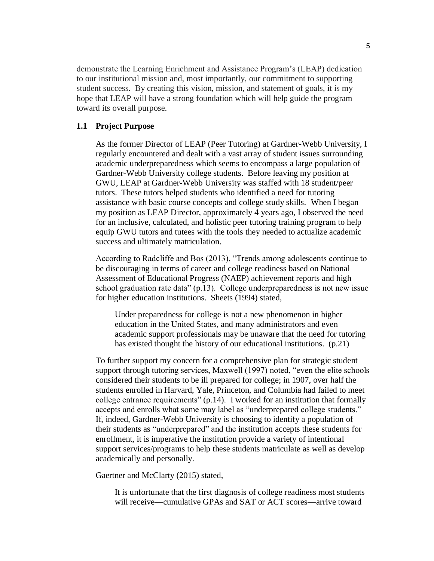demonstrate the Learning Enrichment and Assistance Program's (LEAP) dedication to our institutional mission and, most importantly, our commitment to supporting student success. By creating this vision, mission, and statement of goals, it is my hope that LEAP will have a strong foundation which will help guide the program toward its overall purpose.

#### **1.1 Project Purpose**

As the former Director of LEAP (Peer Tutoring) at Gardner-Webb University, I regularly encountered and dealt with a vast array of student issues surrounding academic underpreparedness which seems to encompass a large population of Gardner-Webb University college students. Before leaving my position at GWU, LEAP at Gardner-Webb University was staffed with 18 student/peer tutors. These tutors helped students who identified a need for tutoring assistance with basic course concepts and college study skills. When I began my position as LEAP Director, approximately 4 years ago, I observed the need for an inclusive, calculated, and holistic peer tutoring training program to help equip GWU tutors and tutees with the tools they needed to actualize academic success and ultimately matriculation.

According to Radcliffe and Bos (2013), "Trends among adolescents continue to be discouraging in terms of career and college readiness based on National Assessment of Educational Progress (NAEP) achievement reports and high school graduation rate data" (p.13). College underpreparedness is not new issue for higher education institutions. Sheets (1994) stated,

Under preparedness for college is not a new phenomenon in higher education in the United States, and many administrators and even academic support professionals may be unaware that the need for tutoring has existed thought the history of our educational institutions. (p.21)

To further support my concern for a comprehensive plan for strategic student support through tutoring services, Maxwell (1997) noted, "even the elite schools considered their students to be ill prepared for college; in 1907, over half the students enrolled in Harvard, Yale, Princeton, and Columbia had failed to meet college entrance requirements" (p.14). I worked for an institution that formally accepts and enrolls what some may label as "underprepared college students." If, indeed, Gardner-Webb University is choosing to identify a population of their students as "underprepared" and the institution accepts these students for enrollment, it is imperative the institution provide a variety of intentional support services/programs to help these students matriculate as well as develop academically and personally.

Gaertner and McClarty (2015) stated,

It is unfortunate that the first diagnosis of college readiness most students will receive—cumulative GPAs and SAT or ACT scores—arrive toward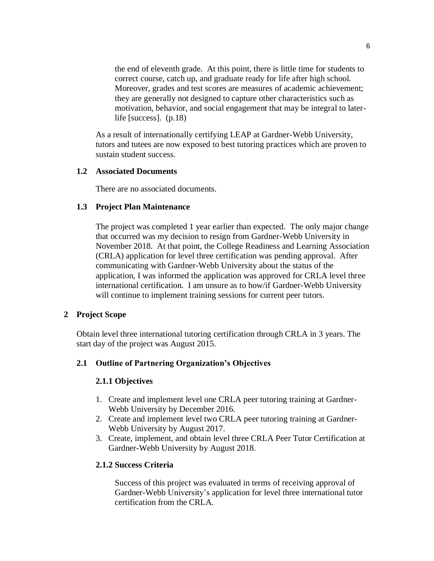the end of eleventh grade. At this point, there is little time for students to correct course, catch up, and graduate ready for life after high school. Moreover, grades and test scores are measures of academic achievement; they are generally not designed to capture other characteristics such as motivation, behavior, and social engagement that may be integral to laterlife [success]. (p.18)

As a result of internationally certifying LEAP at Gardner-Webb University, tutors and tutees are now exposed to best tutoring practices which are proven to sustain student success.

#### **1.2 Associated Documents**

There are no associated documents.

#### **1.3 Project Plan Maintenance**

The project was completed 1 year earlier than expected. The only major change that occurred was my decision to resign from Gardner-Webb University in November 2018. At that point, the College Readiness and Learning Association (CRLA) application for level three certification was pending approval. After communicating with Gardner-Webb University about the status of the application, I was informed the application was approved for CRLA level three international certification. I am unsure as to how/if Gardner-Webb University will continue to implement training sessions for current peer tutors.

#### **2 Project Scope**

Obtain level three international tutoring certification through CRLA in 3 years. The start day of the project was August 2015.

#### **2.1 Outline of Partnering Organization's Objectives**

#### **2.1.1 Objectives**

- 1. Create and implement level one CRLA peer tutoring training at Gardner-Webb University by December 2016.
- 2. Create and implement level two CRLA peer tutoring training at Gardner-Webb University by August 2017.
- 3. Create, implement, and obtain level three CRLA Peer Tutor Certification at Gardner-Webb University by August 2018.

#### **2.1.2 Success Criteria**

Success of this project was evaluated in terms of receiving approval of Gardner-Webb University's application for level three international tutor certification from the CRLA.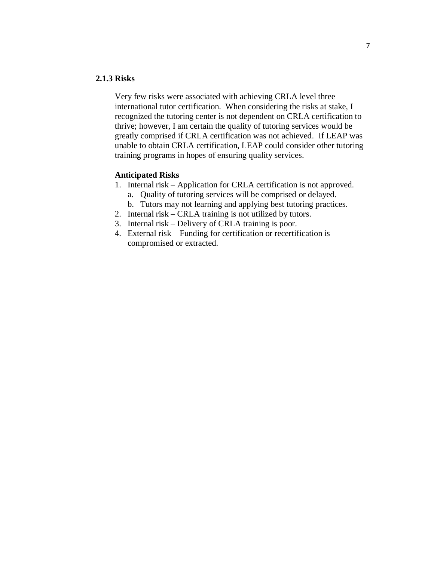#### **2.1.3 Risks**

Very few risks were associated with achieving CRLA level three international tutor certification. When considering the risks at stake, I recognized the tutoring center is not dependent on CRLA certification to thrive; however, I am certain the quality of tutoring services would be greatly comprised if CRLA certification was not achieved. If LEAP was unable to obtain CRLA certification, LEAP could consider other tutoring training programs in hopes of ensuring quality services.

#### **Anticipated Risks**

- 1. Internal risk Application for CRLA certification is not approved. a. Quality of tutoring services will be comprised or delayed.
	- b. Tutors may not learning and applying best tutoring practices.
- 2. Internal risk CRLA training is not utilized by tutors.
- 3. Internal risk Delivery of CRLA training is poor.
- 4. External risk Funding for certification or recertification is compromised or extracted.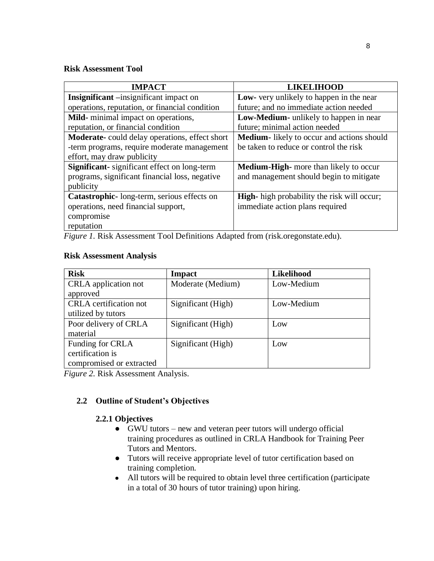#### **Risk Assessment Tool**

| <b>IMPACT</b>                                                                                                                                                                    | <b>LIKELIHOOD</b>                                  |
|----------------------------------------------------------------------------------------------------------------------------------------------------------------------------------|----------------------------------------------------|
| Insignificant -insignificant impact on                                                                                                                                           | Low- very unlikely to happen in the near           |
| operations, reputation, or financial condition                                                                                                                                   | future; and no immediate action needed             |
| Mild-minimal impact on operations,                                                                                                                                               | <b>Low-Medium-</b> unlikely to happen in near      |
| reputation, or financial condition                                                                                                                                               | future; minimal action needed                      |
| <b>Moderate-</b> could delay operations, effect short                                                                                                                            | <b>Medium</b> -likely to occur and actions should  |
| -term programs, require moderate management                                                                                                                                      | be taken to reduce or control the risk             |
| effort, may draw publicity                                                                                                                                                       |                                                    |
| <b>Significant-</b> significant effect on long-term                                                                                                                              | <b>Medium-High-</b> more than likely to occur      |
| programs, significant financial loss, negative                                                                                                                                   | and management should begin to mitigate            |
| publicity                                                                                                                                                                        |                                                    |
| Catastrophic-long-term, serious effects on                                                                                                                                       | <b>High-</b> high probability the risk will occur; |
| operations, need financial support,                                                                                                                                              | immediate action plans required                    |
| compromise                                                                                                                                                                       |                                                    |
| reputation                                                                                                                                                                       |                                                    |
| $\mathbf{I} \cap \mathbf{I}$ and $\mathbf{I} \cap \mathbf{I} \cap \mathbf{I}$ and $\mathbf{I} \cap \mathbf{I}$ and $\mathbf{I} \cap \mathbf{I}$ and $\mathbf{I} \cap \mathbf{I}$ |                                                    |

*Figure 1.* Risk Assessment Tool Definitions Adapted from (risk.oregonstate.edu).

## **Risk Assessment Analysis**

| <b>Risk</b>                                                      | <b>Impact</b>      | Likelihood |
|------------------------------------------------------------------|--------------------|------------|
| CRLA application not<br>approved                                 | Moderate (Medium)  | Low-Medium |
| <b>CRLA</b> certification not<br>utilized by tutors              | Significant (High) | Low-Medium |
| Poor delivery of CRLA<br>material                                | Significant (High) | Low        |
| Funding for CRLA<br>certification is<br>compromised or extracted | Significant (High) | Low        |

*Figure 2.* Risk Assessment Analysis.

## **2.2 Outline of Student's Objectives**

## **2.2.1 Objectives**

- GWU tutors new and veteran peer tutors will undergo official training procedures as outlined in CRLA Handbook for Training Peer Tutors and Mentors.
- Tutors will receive appropriate level of tutor certification based on training completion.
- All tutors will be required to obtain level three certification (participate in a total of 30 hours of tutor training) upon hiring.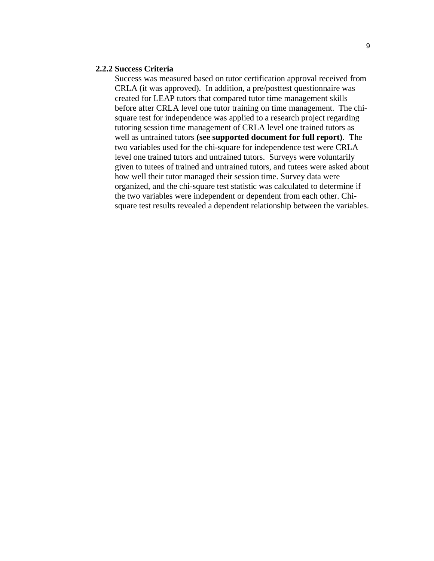#### **2.2.2 Success Criteria**

Success was measured based on tutor certification approval received from CRLA (it was approved). In addition, a pre/posttest questionnaire was created for LEAP tutors that compared tutor time management skills before after CRLA level one tutor training on time management. The chisquare test for independence was applied to a research project regarding tutoring session time management of CRLA level one trained tutors as well as untrained tutors **(see supported document for full report)**. The two variables used for the chi-square for independence test were CRLA level one trained tutors and untrained tutors. Surveys were voluntarily given to tutees of trained and untrained tutors, and tutees were asked about how well their tutor managed their session time. Survey data were organized, and the chi-square test statistic was calculated to determine if the two variables were independent or dependent from each other. Chisquare test results revealed a dependent relationship between the variables.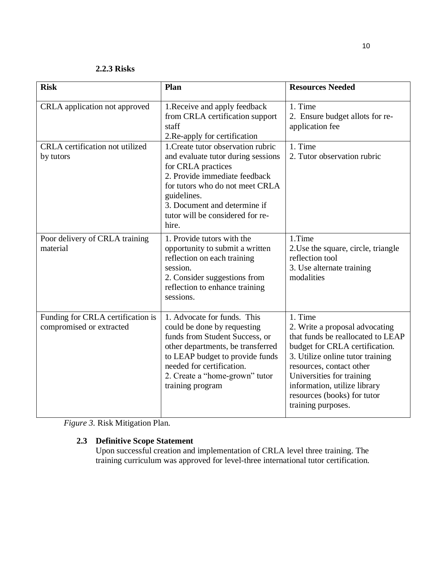**2.2.3 Risks**

| <b>Risk</b>                                                   | Plan                                                                                                                                                                                                                                                           | <b>Resources Needed</b>                                                                                                                                                                                                                                                                            |
|---------------------------------------------------------------|----------------------------------------------------------------------------------------------------------------------------------------------------------------------------------------------------------------------------------------------------------------|----------------------------------------------------------------------------------------------------------------------------------------------------------------------------------------------------------------------------------------------------------------------------------------------------|
| CRLA application not approved                                 | 1. Receive and apply feedback<br>from CRLA certification support<br>staff<br>2. Re-apply for certification                                                                                                                                                     | 1. Time<br>2. Ensure budget allots for re-<br>application fee                                                                                                                                                                                                                                      |
| CRLA certification not utilized<br>by tutors                  | 1. Create tutor observation rubric<br>and evaluate tutor during sessions<br>for CRLA practices<br>2. Provide immediate feedback<br>for tutors who do not meet CRLA<br>guidelines.<br>3. Document and determine if<br>tutor will be considered for re-<br>hire. | 1. Time<br>2. Tutor observation rubric                                                                                                                                                                                                                                                             |
| Poor delivery of CRLA training<br>material                    | 1. Provide tutors with the<br>opportunity to submit a written<br>reflection on each training<br>session.<br>2. Consider suggestions from<br>reflection to enhance training<br>sessions.                                                                        | 1.Time<br>2. Use the square, circle, triangle<br>reflection tool<br>3. Use alternate training<br>modalities                                                                                                                                                                                        |
| Funding for CRLA certification is<br>compromised or extracted | 1. Advocate for funds. This<br>could be done by requesting<br>funds from Student Success, or<br>other departments, be transferred<br>to LEAP budget to provide funds<br>needed for certification.<br>2. Create a "home-grown" tutor<br>training program        | 1. Time<br>2. Write a proposal advocating<br>that funds be reallocated to LEAP<br>budget for CRLA certification.<br>3. Utilize online tutor training<br>resources, contact other<br>Universities for training<br>information, utilize library<br>resources (books) for tutor<br>training purposes. |

*Figure 3.* Risk Mitigation Plan.

## **2.3 Definitive Scope Statement**

Upon successful creation and implementation of CRLA level three training. The training curriculum was approved for level-three international tutor certification.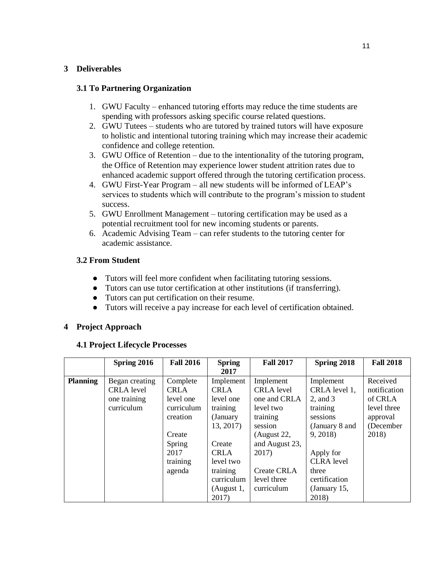## **3 Deliverables**

## **3.1 To Partnering Organization**

- 1. GWU Faculty enhanced tutoring efforts may reduce the time students are spending with professors asking specific course related questions.
- 2. GWU Tutees students who are tutored by trained tutors will have exposure to holistic and intentional tutoring training which may increase their academic confidence and college retention.
- 3. GWU Office of Retention due to the intentionality of the tutoring program, the Office of Retention may experience lower student attrition rates due to enhanced academic support offered through the tutoring certification process.
- 4. GWU First-Year Program all new students will be informed of LEAP's services to students which will contribute to the program's mission to student success.
- 5. GWU Enrollment Management tutoring certification may be used as a potential recruitment tool for new incoming students or parents.
- 6. Academic Advising Team can refer students to the tutoring center for academic assistance.

## **3.2 From Student**

- Tutors will feel more confident when facilitating tutoring sessions.
- Tutors can use tutor certification at other institutions (if transferring).
- Tutors can put certification on their resume.
- Tutors will receive a pay increase for each level of certification obtained.

#### **4 Project Approach**

#### **4.1 Project Lifecycle Processes**

|                 | Spring 2016                                                       | <b>Fall 2016</b>                                                                                                 | <b>Spring</b><br>2017                                                                                                                                              | <b>Fall 2017</b>                                                                                                                                                                | Spring 2018                                                                                                                                                                            | <b>Fall 2018</b>                                                                     |
|-----------------|-------------------------------------------------------------------|------------------------------------------------------------------------------------------------------------------|--------------------------------------------------------------------------------------------------------------------------------------------------------------------|---------------------------------------------------------------------------------------------------------------------------------------------------------------------------------|----------------------------------------------------------------------------------------------------------------------------------------------------------------------------------------|--------------------------------------------------------------------------------------|
| <b>Planning</b> | Began creating<br><b>CRLA</b> level<br>one training<br>curriculum | Complete<br><b>CRLA</b><br>level one<br>curriculum<br>creation<br>Create<br>Spring<br>2017<br>training<br>agenda | Implement<br><b>CRLA</b><br>level one<br>training<br>(January)<br>13, 2017)<br>Create<br><b>CRLA</b><br>level two<br>training<br>curriculum<br>(August 1,<br>2017) | Implement<br><b>CRLA</b> level<br>one and CRLA<br>level two<br>training<br>session<br>(August 22,<br>and August 23,<br>2017)<br><b>Create CRLA</b><br>level three<br>curriculum | Implement<br>CRLA level 1,<br>$2$ , and $3$<br>training<br>sessions<br>(January 8 and<br>9, 2018)<br>Apply for<br><b>CLRA</b> level<br>three<br>certification<br>(January 15,<br>2018) | Received<br>notification<br>of CRLA<br>level three<br>approval<br>(December<br>2018) |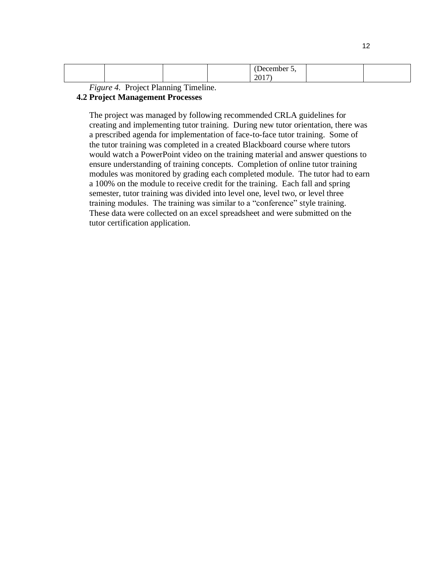| ______<br>11<br>$\sim$ $\circ$ |  |
|--------------------------------|--|
|--------------------------------|--|

*Figure 4.* Project Planning Timeline.

#### **4.2 Project Management Processes**

The project was managed by following recommended CRLA guidelines for creating and implementing tutor training. During new tutor orientation, there was a prescribed agenda for implementation of face-to-face tutor training. Some of the tutor training was completed in a created Blackboard course where tutors would watch a PowerPoint video on the training material and answer questions to ensure understanding of training concepts. Completion of online tutor training modules was monitored by grading each completed module. The tutor had to earn a 100% on the module to receive credit for the training. Each fall and spring semester, tutor training was divided into level one, level two, or level three training modules. The training was similar to a "conference" style training. These data were collected on an excel spreadsheet and were submitted on the tutor certification application.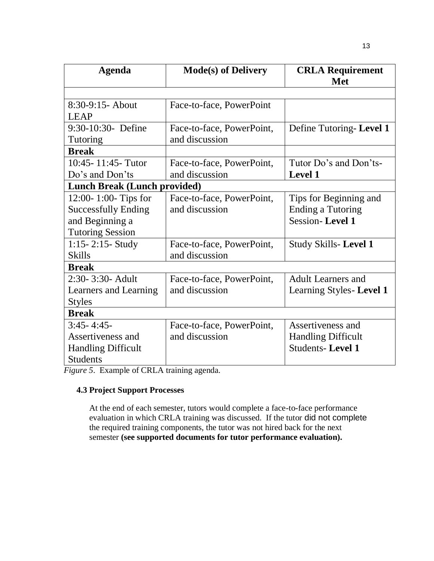| <b>Agenda</b>                       | <b>Mode(s) of Delivery</b> | <b>CRLA Requirement</b><br><b>Met</b> |
|-------------------------------------|----------------------------|---------------------------------------|
|                                     |                            |                                       |
| $8:30-9:15$ - About                 | Face-to-face, PowerPoint   |                                       |
| <b>LEAP</b>                         |                            |                                       |
| 9:30-10:30- Define                  | Face-to-face, PowerPoint,  | Define Tutoring-Level 1               |
| Tutoring                            | and discussion             |                                       |
| <b>Break</b>                        |                            |                                       |
| 10:45-11:45-Tutor                   | Face-to-face, PowerPoint,  | Tutor Do's and Don'ts-                |
| Do's and Don'ts                     | and discussion             | Level 1                               |
| <b>Lunch Break (Lunch provided)</b> |                            |                                       |
| 12:00-1:00-Tips for                 | Face-to-face, PowerPoint,  | Tips for Beginning and                |
| <b>Successfully Ending</b>          | and discussion             | <b>Ending a Tutoring</b>              |
| and Beginning a                     |                            | <b>Session-Level 1</b>                |
| <b>Tutoring Session</b>             |                            |                                       |
| $1:15 - 2:15$ - Study               | Face-to-face, PowerPoint,  | Study Skills-Level 1                  |
| <b>Skills</b>                       | and discussion             |                                       |
| <b>Break</b>                        |                            |                                       |
| 2:30-3:30- Adult                    | Face-to-face, PowerPoint,  | <b>Adult Learners and</b>             |
| Learners and Learning               | and discussion             | Learning Styles-Level 1               |
| <b>Styles</b>                       |                            |                                       |
| <b>Break</b>                        |                            |                                       |
| $3:45 - 4:45$                       | Face-to-face, PowerPoint,  | Assertiveness and                     |
| Assertiveness and                   | and discussion             | <b>Handling Difficult</b>             |
| <b>Handling Difficult</b>           |                            | <b>Students-Level 1</b>               |
| <b>Students</b>                     |                            |                                       |

*Figure 5*. Example of CRLA training agenda.

## **4.3 Project Support Processes**

At the end of each semester, tutors would complete a face-to-face performance evaluation in which CRLA training was discussed. If the tutor did not complete the required training components, the tutor was not hired back for the next semester **(see supported documents for tutor performance evaluation).**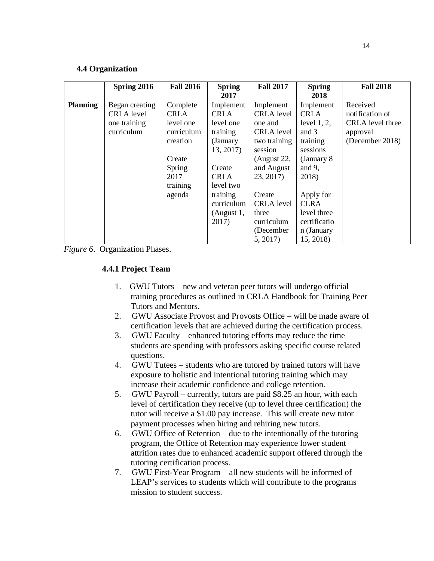#### **4.4 Organization**

|                 | Spring 2016                                                       | <b>Fall 2016</b>                                                                   | <b>Spring</b>                                                                        | <b>Fall 2017</b>                                                                                                | <b>Spring</b>                                                                                                   | <b>Fall 2018</b>                                                               |
|-----------------|-------------------------------------------------------------------|------------------------------------------------------------------------------------|--------------------------------------------------------------------------------------|-----------------------------------------------------------------------------------------------------------------|-----------------------------------------------------------------------------------------------------------------|--------------------------------------------------------------------------------|
| <b>Planning</b> | Began creating<br><b>CRLA</b> level<br>one training<br>curriculum | Complete<br><b>CRLA</b><br>level one<br>curriculum<br>creation<br>Create<br>Spring | 2017<br>Implement<br>CRLA<br>level one<br>training<br>(January<br>13, 2017<br>Create | Implement<br><b>CRLA</b> level<br>one and<br>CRLA level<br>two training<br>session<br>(August 22,<br>and August | 2018<br>Implement<br><b>CRLA</b><br>level $1, 2$ ,<br>and 3<br>training<br>sessions<br>(January 8)<br>and $9$ , | Received<br>notification of<br>CRLA level three<br>approval<br>(December 2018) |
|                 |                                                                   | 2017<br>training<br>agenda                                                         | <b>CRLA</b><br>level two<br>training<br>curriculum<br>(August 1,<br>2017)            | 23, 2017)<br>Create<br><b>CRLA</b> level<br>three<br>curriculum<br>(December<br>5, 2017)                        | 2018)<br>Apply for<br><b>CLRA</b><br>level three<br>certificatio<br>n (January<br>15, 2018)                     |                                                                                |

*Figure 6*. Organization Phases.

## **4.4.1 Project Team**

- 1. GWU Tutors new and veteran peer tutors will undergo official training procedures as outlined in CRLA Handbook for Training Peer Tutors and Mentors.
- 2. GWU Associate Provost and Provosts Office will be made aware of certification levels that are achieved during the certification process.
- 3. GWU Faculty enhanced tutoring efforts may reduce the time students are spending with professors asking specific course related questions.
- 4. GWU Tutees students who are tutored by trained tutors will have exposure to holistic and intentional tutoring training which may increase their academic confidence and college retention.
- 5. GWU Payroll currently, tutors are paid \$8.25 an hour, with each level of certification they receive (up to level three certification) the tutor will receive a \$1.00 pay increase. This will create new tutor payment processes when hiring and rehiring new tutors.
- 6. GWU Office of Retention due to the intentionally of the tutoring program, the Office of Retention may experience lower student attrition rates due to enhanced academic support offered through the tutoring certification process.
- 7. GWU First-Year Program all new students will be informed of LEAP's services to students which will contribute to the programs mission to student success.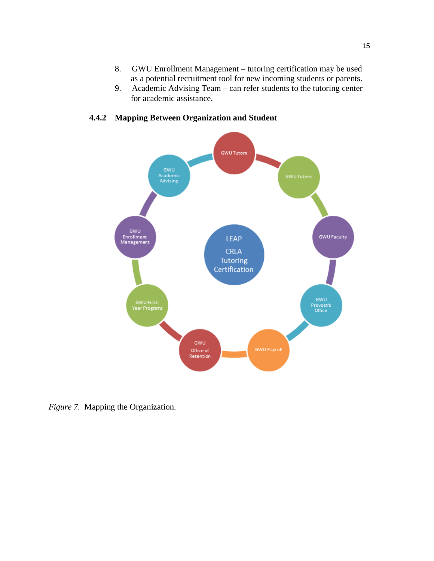- 8. GWU Enrollment Management tutoring certification may be used as a potential recruitment tool for new incoming students or parents.
- 9. Academic Advising Team can refer students to the tutoring center for academic assistance.



## **4.4.2 Mapping Between Organization and Student**

*Figure 7.* Mapping the Organization.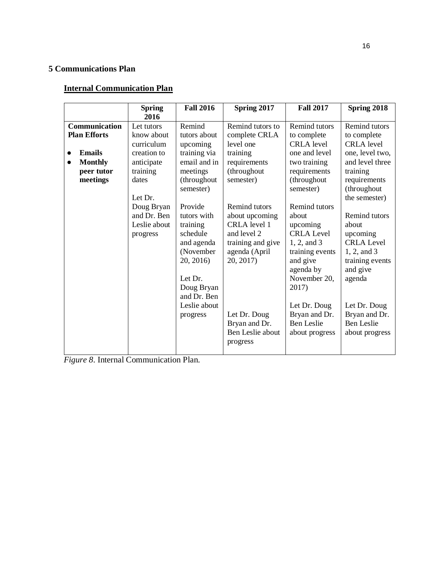## **5 Communications Plan**

## **Internal Communication Plan**

|                                                                                                                             | <b>Spring</b>                                                                                                                                                        | <b>Fall 2016</b>                                                                                                                                                                                                                                                         | Spring 2017                                                                                                                                                                                                                                                                                  | <b>Fall 2017</b>                                                                                                                                                                                                                                                                                                                                                    | Spring 2018                                                                                                                                                                                                                                                                                                                                                  |
|-----------------------------------------------------------------------------------------------------------------------------|----------------------------------------------------------------------------------------------------------------------------------------------------------------------|--------------------------------------------------------------------------------------------------------------------------------------------------------------------------------------------------------------------------------------------------------------------------|----------------------------------------------------------------------------------------------------------------------------------------------------------------------------------------------------------------------------------------------------------------------------------------------|---------------------------------------------------------------------------------------------------------------------------------------------------------------------------------------------------------------------------------------------------------------------------------------------------------------------------------------------------------------------|--------------------------------------------------------------------------------------------------------------------------------------------------------------------------------------------------------------------------------------------------------------------------------------------------------------------------------------------------------------|
| Communication<br><b>Plan Efforts</b><br><b>Emails</b><br>$\bullet$<br><b>Monthly</b><br>$\bullet$<br>peer tutor<br>meetings | 2016<br>Let tutors<br>know about<br>curriculum<br>creation to<br>anticipate<br>training<br>dates<br>Let Dr.<br>Doug Bryan<br>and Dr. Ben<br>Leslie about<br>progress | Remind<br>tutors about<br>upcoming<br>training via<br>email and in<br>meetings<br>(throughout<br>semester)<br>Provide<br>tutors with<br>training<br>schedule<br>and agenda<br>(November<br>20, 2016)<br>Let Dr.<br>Doug Bryan<br>and Dr. Ben<br>Leslie about<br>progress | Remind tutors to<br>complete CRLA<br>level one<br>training<br>requirements<br>(throughout<br>semester)<br>Remind tutors<br>about upcoming<br>CRLA level 1<br>and level 2<br>training and give<br>agenda (April<br>20, 2017)<br>Let Dr. Doug<br>Bryan and Dr.<br>Ben Leslie about<br>progress | <b>Remind tutors</b><br>to complete<br><b>CRLA</b> level<br>one and level<br>two training<br>requirements<br>(throughout<br>semester)<br><b>Remind tutors</b><br>about<br>upcoming<br><b>CRLA</b> Level<br>1, 2, and 3<br>training events<br>and give<br>agenda by<br>November 20,<br>2017)<br>Let Dr. Doug<br>Bryan and Dr.<br><b>Ben Leslie</b><br>about progress | <b>Remind tutors</b><br>to complete<br><b>CRLA</b> level<br>one, level two,<br>and level three<br>training<br>requirements<br>(throughout<br>the semester)<br><b>Remind tutors</b><br>about<br>upcoming<br><b>CRLA Level</b><br>1, 2, and 3<br>training events<br>and give<br>agenda<br>Let Dr. Doug<br>Bryan and Dr.<br><b>Ben Leslie</b><br>about progress |

*Figure 8*. Internal Communication Plan.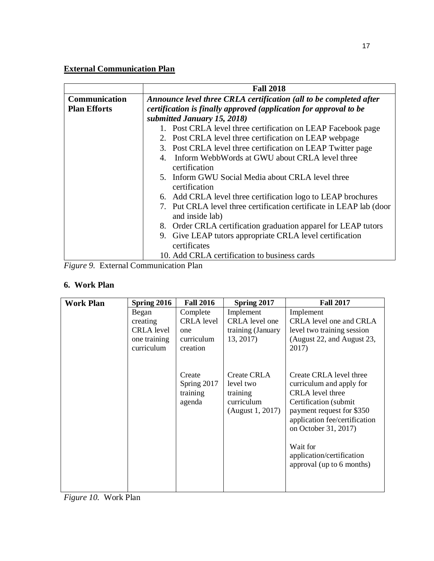# **External Communication Plan**

|                     | <b>Fall 2018</b>                                                                       |  |  |  |  |  |  |
|---------------------|----------------------------------------------------------------------------------------|--|--|--|--|--|--|
| Communication       | Announce level three CRLA certification (all to be completed after                     |  |  |  |  |  |  |
| <b>Plan Efforts</b> | certification is finally approved (application for approval to be                      |  |  |  |  |  |  |
|                     | submitted January 15, 2018)                                                            |  |  |  |  |  |  |
|                     | 1. Post CRLA level three certification on LEAP Facebook page                           |  |  |  |  |  |  |
|                     | 2. Post CRLA level three certification on LEAP webpage                                 |  |  |  |  |  |  |
|                     | 3. Post CRLA level three certification on LEAP Twitter page                            |  |  |  |  |  |  |
|                     | 4. Inform WebbWords at GWU about CRLA level three                                      |  |  |  |  |  |  |
|                     | certification                                                                          |  |  |  |  |  |  |
|                     | 5. Inform GWU Social Media about CRLA level three<br>certification                     |  |  |  |  |  |  |
|                     | 6. Add CRLA level three certification logo to LEAP brochures                           |  |  |  |  |  |  |
|                     | 7. Put CRLA level three certification certificate in LEAP lab (door<br>and inside lab) |  |  |  |  |  |  |
|                     | 8. Order CRLA certification graduation apparel for LEAP tutors                         |  |  |  |  |  |  |
|                     | 9. Give LEAP tutors appropriate CRLA level certification                               |  |  |  |  |  |  |
|                     | certificates                                                                           |  |  |  |  |  |  |
|                     | 10. Add CRLA certification to business cards                                           |  |  |  |  |  |  |

*Figure 9.* External Communication Plan

## **6. Work Plan**

| <b>Work Plan</b> | Spring 2016                                                          | <b>Fall 2016</b>                                               | Spring 2017                                                                   | <b>Fall 2017</b>                                                                                                                                                                                                                                                     |
|------------------|----------------------------------------------------------------------|----------------------------------------------------------------|-------------------------------------------------------------------------------|----------------------------------------------------------------------------------------------------------------------------------------------------------------------------------------------------------------------------------------------------------------------|
|                  | Began<br>creating<br><b>CRLA</b> level<br>one training<br>curriculum | Complete<br><b>CRLA</b> level<br>one<br>curriculum<br>creation | Implement<br>CRLA level one<br>training (January<br>13, 2017)                 | Implement<br>CRLA level one and CRLA<br>level two training session<br>(August 22, and August 23,<br>2017)                                                                                                                                                            |
|                  |                                                                      | Create<br>Spring 2017<br>training<br>agenda                    | <b>Create CRLA</b><br>level two<br>training<br>curriculum<br>(August 1, 2017) | Create CRLA level three<br>curriculum and apply for<br><b>CRLA</b> level three<br>Certification (submit)<br>payment request for \$350<br>application fee/certification<br>on October 31, 2017)<br>Wait for<br>application/certification<br>approval (up to 6 months) |

*Figure 10.* Work Plan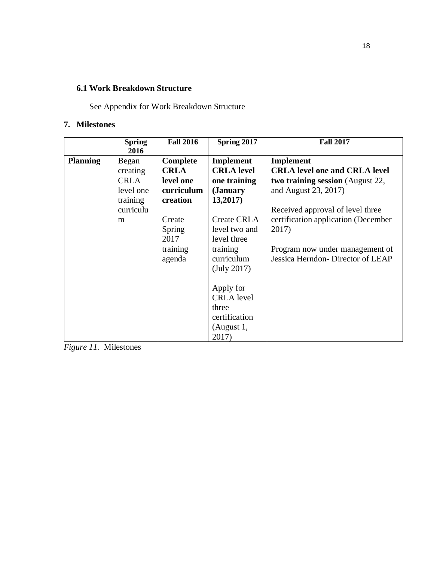## **6.1 Work Breakdown Structure**

See Appendix for Work Breakdown Structure

## **7. Milestones**

|                 | <b>Spring</b><br>2016 | <b>Fall 2016</b> | Spring 2017        | <b>Fall 2017</b>                        |
|-----------------|-----------------------|------------------|--------------------|-----------------------------------------|
| <b>Planning</b> | Began                 | Complete         | Implement          | Implement                               |
|                 |                       | <b>CRLA</b>      | <b>CRLA</b> level  | <b>CRLA level one and CRLA level</b>    |
|                 | creating              |                  |                    |                                         |
|                 | <b>CRLA</b>           | level one        | one training       | <b>two training session</b> (August 22, |
|                 | level one             | curriculum       | ( <b>January</b>   | and August 23, 2017)                    |
|                 | training              | creation         | 13,2017)           |                                         |
|                 | curriculu             |                  |                    | Received approval of level three        |
|                 | m                     | Create           | <b>Create CRLA</b> | certification application (December     |
|                 |                       | <b>Spring</b>    | level two and      | 2017)                                   |
|                 |                       | 2017             | level three        |                                         |
|                 |                       | training         | training           | Program now under management of         |
|                 |                       | agenda           | curriculum         | Jessica Herndon-Director of LEAP        |
|                 |                       |                  | (July 2017)        |                                         |
|                 |                       |                  |                    |                                         |
|                 |                       |                  |                    |                                         |
|                 |                       |                  | Apply for          |                                         |
|                 |                       |                  | <b>CRLA</b> level  |                                         |
|                 |                       |                  | three              |                                         |
|                 |                       |                  | certification      |                                         |
|                 |                       |                  | (August 1,         |                                         |
|                 |                       |                  | 2017)              |                                         |

*Figure 11.* Milestones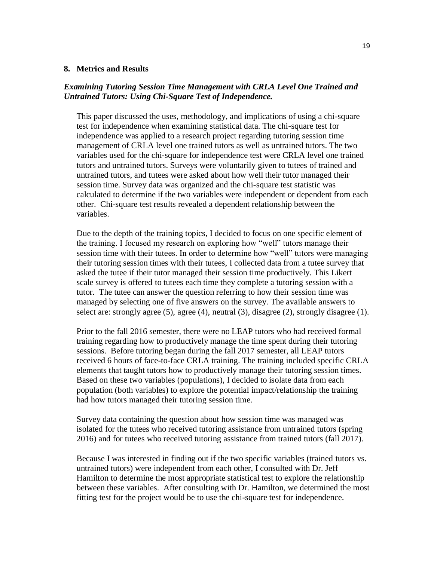#### **8. Metrics and Results**

#### *Examining Tutoring Session Time Management with CRLA Level One Trained and Untrained Tutors: Using Chi-Square Test of Independence.*

This paper discussed the uses, methodology, and implications of using a chi-square test for independence when examining statistical data. The chi-square test for independence was applied to a research project regarding tutoring session time management of CRLA level one trained tutors as well as untrained tutors. The two variables used for the chi-square for independence test were CRLA level one trained tutors and untrained tutors. Surveys were voluntarily given to tutees of trained and untrained tutors, and tutees were asked about how well their tutor managed their session time. Survey data was organized and the chi-square test statistic was calculated to determine if the two variables were independent or dependent from each other. Chi-square test results revealed a dependent relationship between the variables.

Due to the depth of the training topics, I decided to focus on one specific element of the training. I focused my research on exploring how "well" tutors manage their session time with their tutees. In order to determine how "well" tutors were managing their tutoring session times with their tutees, I collected data from a tutee survey that asked the tutee if their tutor managed their session time productively. This Likert scale survey is offered to tutees each time they complete a tutoring session with a tutor. The tutee can answer the question referring to how their session time was managed by selecting one of five answers on the survey. The available answers to select are: strongly agree (5), agree (4), neutral (3), disagree (2), strongly disagree (1).

Prior to the fall 2016 semester, there were no LEAP tutors who had received formal training regarding how to productively manage the time spent during their tutoring sessions. Before tutoring began during the fall 2017 semester, all LEAP tutors received 6 hours of face-to-face CRLA training. The training included specific CRLA elements that taught tutors how to productively manage their tutoring session times. Based on these two variables (populations), I decided to isolate data from each population (both variables) to explore the potential impact/relationship the training had how tutors managed their tutoring session time.

Survey data containing the question about how session time was managed was isolated for the tutees who received tutoring assistance from untrained tutors (spring 2016) and for tutees who received tutoring assistance from trained tutors (fall 2017).

Because I was interested in finding out if the two specific variables (trained tutors vs. untrained tutors) were independent from each other, I consulted with Dr. Jeff Hamilton to determine the most appropriate statistical test to explore the relationship between these variables. After consulting with Dr. Hamilton, we determined the most fitting test for the project would be to use the chi-square test for independence.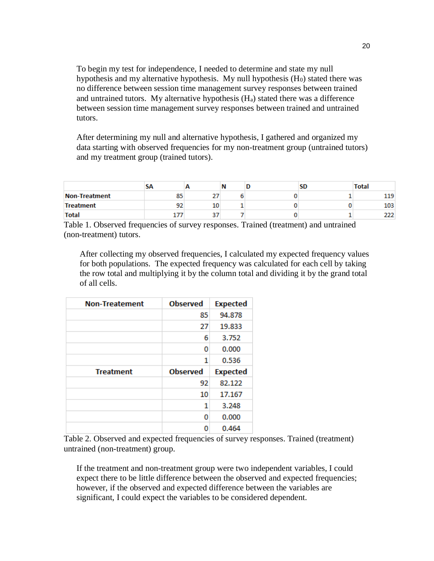To begin my test for independence, I needed to determine and state my null hypothesis and my alternative hypothesis. My null hypothesis (H<sub>0</sub>) stated there was no difference between session time management survey responses between trained and untrained tutors. My alternative hypothesis (Ha) stated there was a difference between session time management survey responses between trained and untrained tutors.

After determining my null and alternative hypothesis, I gathered and organized my data starting with observed frequencies for my non-treatment group (untrained tutors) and my treatment group (trained tutors).

|                      | эΑ |     | Ν | שכ | <b>Total</b> |
|----------------------|----|-----|---|----|--------------|
| <b>Non-Treatment</b> | 85 | . . |   |    | 119          |
| <b>Treatment</b>     | 92 | 10  |   |    | 103          |
| <b>Total</b>         |    | . . |   |    |              |

Table 1. Observed frequencies of survey responses. Trained (treatment) and untrained (non-treatment) tutors.

After collecting my observed frequencies, I calculated my expected frequency values for both populations. The expected frequency was calculated for each cell by taking the row total and multiplying it by the column total and dividing it by the grand total of all cells.

| <b>Non-Treatement</b> | <b>Observed</b> | <b>Expected</b> |
|-----------------------|-----------------|-----------------|
|                       | 85              | 94.878          |
|                       | 27              | 19.833          |
|                       | 6               | 3.752           |
|                       | 0               | 0.000           |
|                       | 1               | 0.536           |
|                       |                 |                 |
| <b>Treatment</b>      | <b>Observed</b> | <b>Expected</b> |
|                       | 92              | 82.122          |
|                       | 10              | 17.167          |
|                       | 1               | 3.248           |
|                       | 0               | 0.000           |

Table 2. Observed and expected frequencies of survey responses. Trained (treatment) untrained (non-treatment) group.

If the treatment and non-treatment group were two independent variables, I could expect there to be little difference between the observed and expected frequencies; however, if the observed and expected difference between the variables are significant, I could expect the variables to be considered dependent.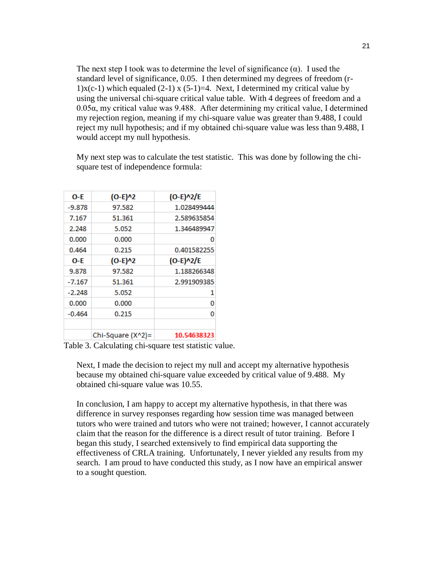The next step I took was to determine the level of significance  $(\alpha)$ . I used the standard level of significance, 0.05. I then determined my degrees of freedom (r-1)x(c-1) which equaled (2-1) x (5-1)=4. Next, I determined my critical value by using the universal chi-square critical value table. With 4 degrees of freedom and a 0.05α, my critical value was 9.488. After determining my critical value, I determined my rejection region, meaning if my chi-square value was greater than 9.488, I could reject my null hypothesis; and if my obtained chi-square value was less than 9.488, I would accept my null hypothesis.

| O-F      | $(O-E)^{n}2$      | $(O-E)^2/E$ |
|----------|-------------------|-------------|
| -9.878   | 97.582            | 1.028499444 |
| 7.167    | 51.361            | 2.589635854 |
| 2.248    | 5.052             | 1.346489947 |
| 0.000    | 0.000             | 0           |
| 0.464    | 0.215             | 0.401582255 |
| O-E      | $(O-E)^{n}2$      | $(O-E)^2/E$ |
| 9.878    | 97.582            | 1.188266348 |
| $-7.167$ | 51.361            | 2.991909385 |
| $-2.248$ | 5.052             | 1           |
| 0.000    | 0.000             | o           |
| $-0.464$ | 0.215             | 0           |
|          | Chi-Square (X^2)= | 10.54638323 |

My next step was to calculate the test statistic. This was done by following the chisquare test of independence formula:

Table 3. Calculating chi-square test statistic value.

Next, I made the decision to reject my null and accept my alternative hypothesis because my obtained chi-square value exceeded by critical value of 9.488. My obtained chi-square value was 10.55.

In conclusion, I am happy to accept my alternative hypothesis, in that there was difference in survey responses regarding how session time was managed between tutors who were trained and tutors who were not trained; however, I cannot accurately claim that the reason for the difference is a direct result of tutor training. Before I began this study, I searched extensively to find empirical data supporting the effectiveness of CRLA training. Unfortunately, I never yielded any results from my search. I am proud to have conducted this study, as I now have an empirical answer to a sought question.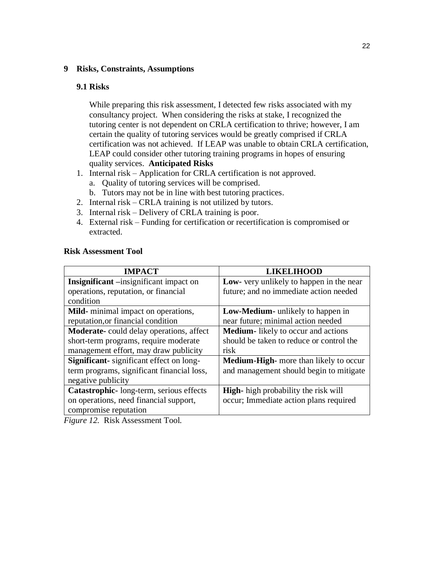#### **9 Risks, Constraints, Assumptions**

#### **9.1 Risks**

While preparing this risk assessment, I detected few risks associated with my consultancy project. When considering the risks at stake, I recognized the tutoring center is not dependent on CRLA certification to thrive; however, I am certain the quality of tutoring services would be greatly comprised if CRLA certification was not achieved. If LEAP was unable to obtain CRLA certification, LEAP could consider other tutoring training programs in hopes of ensuring quality services. **Anticipated Risks**

- 1. Internal risk Application for CRLA certification is not approved.
	- a. Quality of tutoring services will be comprised.
	- b. Tutors may not be in line with best tutoring practices.
- 2. Internal risk CRLA training is not utilized by tutors.
- 3. Internal risk Delivery of CRLA training is poor.
- 4. External risk Funding for certification or recertification is compromised or extracted.

| <b>Risk Assessment Tool</b> |  |  |  |  |
|-----------------------------|--|--|--|--|
|-----------------------------|--|--|--|--|

| <b>IMPACT</b>                                   | <b>LIKELIHOOD</b>                             |
|-------------------------------------------------|-----------------------------------------------|
| Insignificant -insignificant impact on          | Low- very unlikely to happen in the near      |
| operations, reputation, or financial            | future; and no immediate action needed        |
| condition                                       |                                               |
| Mild-minimal impact on operations,              | Low-Medium- unlikely to happen in             |
| reputation, or financial condition              | near future; minimal action needed            |
| <b>Moderate-</b> could delay operations, affect | <b>Medium-</b> likely to occur and actions    |
| short-term programs, require moderate           | should be taken to reduce or control the      |
| management effort, may draw publicity           | risk                                          |
| <b>Significant</b> -significant effect on long- | <b>Medium-High-</b> more than likely to occur |
| term programs, significant financial loss,      | and management should begin to mitigate       |
| negative publicity                              |                                               |
| Catastrophic-long-term, serious effects         | <b>High-</b> high probability the risk will   |
| on operations, need financial support,          | occur; Immediate action plans required        |
| compromise reputation                           |                                               |
|                                                 |                                               |

*Figure 12.* Risk Assessment Tool.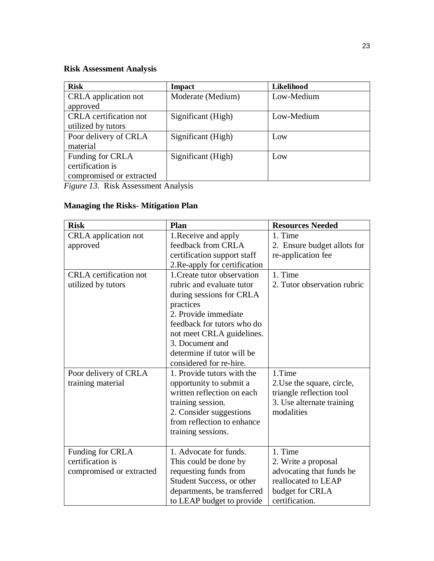# **Risk Assessment Analysis**

| <b>Risk</b>                                                                       | <b>Impact</b>      | Likelihood |
|-----------------------------------------------------------------------------------|--------------------|------------|
| CRLA application not                                                              | Moderate (Medium)  | Low-Medium |
| approved                                                                          |                    |            |
| <b>CRLA</b> certification not                                                     | Significant (High) | Low-Medium |
| utilized by tutors                                                                |                    |            |
| Poor delivery of CRLA                                                             | Significant (High) | Low        |
| material                                                                          |                    |            |
| Funding for CRLA                                                                  | Significant (High) | Low        |
| certification is                                                                  |                    |            |
| compromised or extracted                                                          |                    |            |
| $\mathbf{10}$ $\mathbf{0}$ $\mathbf{11}$ $\mathbf{1}$<br>$\overline{\phantom{a}}$ |                    |            |

*Figure 13.* Risk Assessment Analysis

# **Managing the Risks- Mitigation Plan**

| <b>Risk</b>                                                                             | Plan                                                                                                                                                                                                            | <b>Resources Needed</b>                                                                                                |
|-----------------------------------------------------------------------------------------|-----------------------------------------------------------------------------------------------------------------------------------------------------------------------------------------------------------------|------------------------------------------------------------------------------------------------------------------------|
| CRLA application not<br>approved<br><b>CRLA</b> certification not<br>utilized by tutors | 1. Receive and apply<br>feedback from CRLA<br>certification support staff<br>2. Re-apply for certification<br>1. Create tutor observation<br>rubric and evaluate tutor<br>during sessions for CRLA<br>practices | 1. Time<br>2. Ensure budget allots for<br>re-application fee<br>1. Time<br>2. Tutor observation rubric                 |
|                                                                                         | 2. Provide immediate<br>feedback for tutors who do<br>not meet CRLA guidelines.<br>3. Document and<br>determine if tutor will be<br>considered for re-hire.                                                     |                                                                                                                        |
| Poor delivery of CRLA<br>training material                                              | 1. Provide tutors with the<br>opportunity to submit a<br>written reflection on each<br>training session.<br>2. Consider suggestions<br>from reflection to enhance<br>training sessions.                         | 1.Time<br>2. Use the square, circle,<br>triangle reflection tool<br>3. Use alternate training<br>modalities            |
| Funding for CRLA<br>certification is<br>compromised or extracted                        | 1. Advocate for funds.<br>This could be done by<br>requesting funds from<br>Student Success, or other<br>departments, be transferred<br>to LEAP budget to provide                                               | 1. Time<br>2. Write a proposal<br>advocating that funds be<br>reallocated to LEAP<br>budget for CRLA<br>certification. |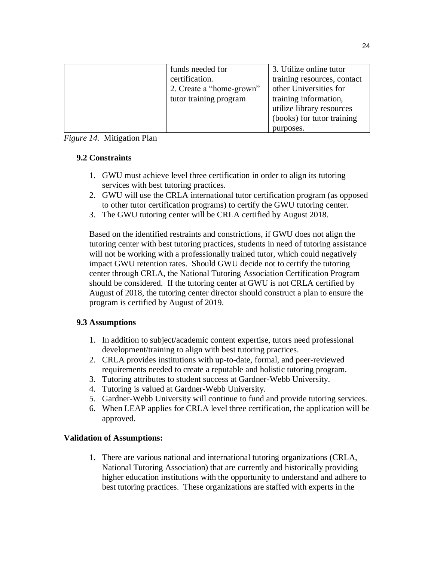| funds needed for         | 3. Utilize online tutor     |
|--------------------------|-----------------------------|
| certification.           | training resources, contact |
| 2. Create a "home-grown" | other Universities for      |
| tutor training program   | training information,       |
|                          | utilize library resources   |
|                          | (books) for tutor training  |
|                          | purposes.                   |

*Figure 14.* Mitigation Plan

## **9.2 Constraints**

- 1. GWU must achieve level three certification in order to align its tutoring services with best tutoring practices.
- 2. GWU will use the CRLA international tutor certification program (as opposed to other tutor certification programs) to certify the GWU tutoring center.
- 3. The GWU tutoring center will be CRLA certified by August 2018.

Based on the identified restraints and constrictions, if GWU does not align the tutoring center with best tutoring practices, students in need of tutoring assistance will not be working with a professionally trained tutor, which could negatively impact GWU retention rates. Should GWU decide not to certify the tutoring center through CRLA, the National Tutoring Association Certification Program should be considered. If the tutoring center at GWU is not CRLA certified by August of 2018, the tutoring center director should construct a plan to ensure the program is certified by August of 2019.

## **9.3 Assumptions**

- 1. In addition to subject/academic content expertise, tutors need professional development/training to align with best tutoring practices.
- 2. CRLA provides institutions with up-to-date, formal, and peer-reviewed requirements needed to create a reputable and holistic tutoring program.
- 3. Tutoring attributes to student success at Gardner-Webb University.
- 4. Tutoring is valued at Gardner-Webb University.
- 5. Gardner-Webb University will continue to fund and provide tutoring services.
- 6. When LEAP applies for CRLA level three certification, the application will be approved.

## **Validation of Assumptions:**

1. There are various national and international tutoring organizations (CRLA, National Tutoring Association) that are currently and historically providing higher education institutions with the opportunity to understand and adhere to best tutoring practices. These organizations are staffed with experts in the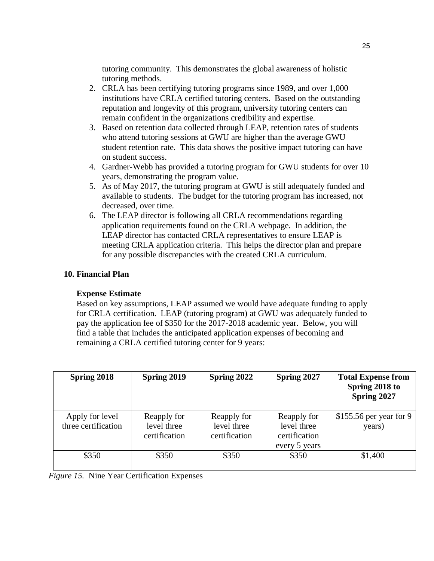tutoring community. This demonstrates the global awareness of holistic tutoring methods.

- 2. CRLA has been certifying tutoring programs since 1989, and over 1,000 institutions have CRLA certified tutoring centers. Based on the outstanding reputation and longevity of this program, university tutoring centers can remain confident in the organizations credibility and expertise.
- 3. Based on retention data collected through LEAP, retention rates of students who attend tutoring sessions at GWU are higher than the average GWU student retention rate. This data shows the positive impact tutoring can have on student success.
- 4. Gardner-Webb has provided a tutoring program for GWU students for over 10 years, demonstrating the program value.
- 5. As of May 2017, the tutoring program at GWU is still adequately funded and available to students. The budget for the tutoring program has increased, not decreased, over time.
- 6. The LEAP director is following all CRLA recommendations regarding application requirements found on the CRLA webpage. In addition, the LEAP director has contacted CRLA representatives to ensure LEAP is meeting CRLA application criteria. This helps the director plan and prepare for any possible discrepancies with the created CRLA curriculum.

#### **10. Financial Plan**

#### **Expense Estimate**

Based on key assumptions, LEAP assumed we would have adequate funding to apply for CRLA certification. LEAP (tutoring program) at GWU was adequately funded to pay the application fee of \$350 for the 2017-2018 academic year. Below, you will find a table that includes the anticipated application expenses of becoming and remaining a CRLA certified tutoring center for 9 years:

| Spring 2018                            | Spring 2019                                 | Spring 2022                                 | Spring 2027                                                  | <b>Total Expense from</b><br>Spring 2018 to<br>Spring 2027 |
|----------------------------------------|---------------------------------------------|---------------------------------------------|--------------------------------------------------------------|------------------------------------------------------------|
| Apply for level<br>three certification | Reapply for<br>level three<br>certification | Reapply for<br>level three<br>certification | Reapply for<br>level three<br>certification<br>every 5 years | \$155.56 per year for 9<br>years)                          |
| \$350                                  | \$350                                       | \$350                                       | \$350                                                        | \$1,400                                                    |

*Figure 15.* Nine Year Certification Expenses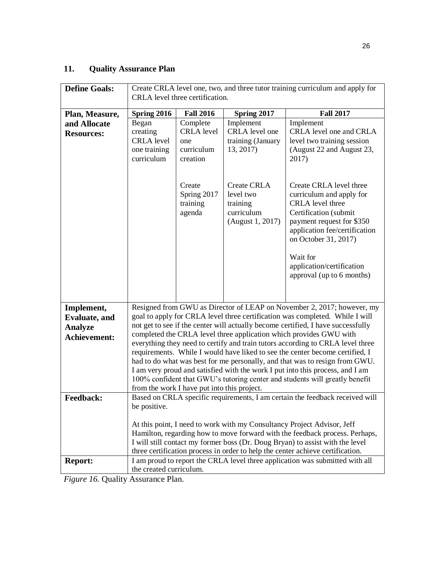# **11. Quality Assurance Plan**

| <b>Define Goals:</b>  | Create CRLA level one, two, and three tutor training curriculum and apply for |                                             |                                |                                                                                  |  |
|-----------------------|-------------------------------------------------------------------------------|---------------------------------------------|--------------------------------|----------------------------------------------------------------------------------|--|
|                       | CRLA level three certification.                                               |                                             |                                |                                                                                  |  |
|                       |                                                                               |                                             |                                |                                                                                  |  |
| Plan, Measure,        | Spring 2016                                                                   | <b>Fall 2016</b>                            | Spring 2017                    | <b>Fall 2017</b>                                                                 |  |
| and Allocate          | Began                                                                         | Complete                                    | Implement                      | Implement                                                                        |  |
| <b>Resources:</b>     | creating                                                                      | <b>CRLA</b> level                           | CRLA level one                 | CRLA level one and CRLA                                                          |  |
|                       | <b>CRLA</b> level                                                             | one                                         | training (January              | level two training session                                                       |  |
|                       | one training                                                                  | curriculum                                  | 13, 2017)                      | (August 22 and August 23,                                                        |  |
|                       | curriculum                                                                    | creation                                    |                                | 2017)                                                                            |  |
|                       |                                                                               |                                             |                                |                                                                                  |  |
|                       |                                                                               |                                             |                                |                                                                                  |  |
|                       |                                                                               | Create                                      | <b>Create CRLA</b>             | Create CRLA level three                                                          |  |
|                       |                                                                               | Spring 2017                                 | level two                      | curriculum and apply for                                                         |  |
|                       |                                                                               | training                                    | training                       | <b>CRLA</b> level three                                                          |  |
|                       |                                                                               | agenda                                      | curriculum<br>(August 1, 2017) | Certification (submit<br>payment request for \$350                               |  |
|                       |                                                                               |                                             |                                | application fee/certification                                                    |  |
|                       |                                                                               |                                             |                                | on October 31, 2017)                                                             |  |
|                       |                                                                               |                                             |                                |                                                                                  |  |
|                       |                                                                               |                                             |                                | Wait for                                                                         |  |
|                       |                                                                               |                                             |                                | application/certification                                                        |  |
|                       |                                                                               |                                             |                                | approval (up to 6 months)                                                        |  |
|                       |                                                                               |                                             |                                |                                                                                  |  |
|                       |                                                                               |                                             |                                |                                                                                  |  |
| Implement,            |                                                                               |                                             |                                | Resigned from GWU as Director of LEAP on November 2, 2017; however, my           |  |
| <b>Evaluate</b> , and |                                                                               |                                             |                                | goal to apply for CRLA level three certification was completed. While I will     |  |
| <b>Analyze</b>        |                                                                               |                                             |                                | not get to see if the center will actually become certified, I have successfully |  |
| <b>Achievement:</b>   |                                                                               |                                             |                                | completed the CRLA level three application which provides GWU with               |  |
|                       |                                                                               |                                             |                                | everything they need to certify and train tutors according to CRLA level three   |  |
|                       |                                                                               |                                             |                                | requirements. While I would have liked to see the center become certified, I     |  |
|                       |                                                                               |                                             |                                | had to do what was best for me personally, and that was to resign from GWU.      |  |
|                       | I am very proud and satisfied with the work I put into this process, and I am |                                             |                                |                                                                                  |  |
|                       | 100% confident that GWU's tutoring center and students will greatly benefit   |                                             |                                |                                                                                  |  |
|                       |                                                                               | from the work I have put into this project. |                                |                                                                                  |  |
| <b>Feedback:</b>      |                                                                               |                                             |                                | Based on CRLA specific requirements, I am certain the feedback received will     |  |
|                       | be positive.                                                                  |                                             |                                |                                                                                  |  |
|                       |                                                                               |                                             |                                |                                                                                  |  |
|                       |                                                                               |                                             |                                | At this point, I need to work with my Consultancy Project Advisor, Jeff          |  |
|                       |                                                                               |                                             |                                | Hamilton, regarding how to move forward with the feedback process. Perhaps,      |  |
|                       |                                                                               |                                             |                                | I will still contact my former boss (Dr. Doug Bryan) to assist with the level    |  |
|                       |                                                                               |                                             |                                | three certification process in order to help the center achieve certification.   |  |
| <b>Report:</b>        |                                                                               |                                             |                                | I am proud to report the CRLA level three application was submitted with all     |  |
|                       | the created curriculum.                                                       |                                             |                                |                                                                                  |  |

*Figure 16.* Quality Assurance Plan.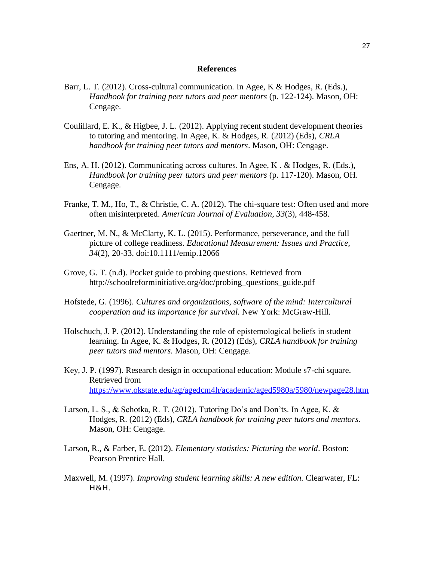#### **References**

- Barr, L. T. (2012). Cross-cultural communication. In Agee, K & Hodges, R. (Eds.), *Handbook for training peer tutors and peer mentors* (p. 122-124). Mason, OH: Cengage.
- Coulillard, E. K., & Higbee, J. L. (2012). Applying recent student development theories to tutoring and mentoring. In Agee, K. & Hodges, R. (2012) (Eds), *CRLA handbook for training peer tutors and mentors*. Mason, OH: Cengage.
- Ens, A. H. (2012). Communicating across cultures. In Agee, K . & Hodges, R. (Eds.), *Handbook for training peer tutors and peer mentors* (p. 117-120). Mason, OH. Cengage.
- Franke, T. M., Ho, T., & Christie, C. A. (2012). The chi-square test: Often used and more often misinterpreted. *American Journal of Evaluation, 33*(3), 448-458.
- Gaertner, M. N., & McClarty, K. L. (2015). Performance, perseverance, and the full picture of college readiness. *Educational Measurement: Issues and Practice, 34*(2), 20-33. doi:10.1111/emip.12066
- Grove, G. T. (n.d). Pocket guide to probing questions. Retrieved from http://schoolreforminitiative.org/doc/probing questions guide.pdf
- Hofstede, G. (1996). *Cultures and organizations, software of the mind: Intercultural cooperation and its importance for survival.* New York: McGraw-Hill.
- Holschuch, J. P. (2012). Understanding the role of epistemological beliefs in student learning. In Agee, K. & Hodges, R. (2012) (Eds), *CRLA handbook for training peer tutors and mentors.* Mason, OH: Cengage.
- Key, J. P. (1997). Research design in occupational education: Module s7-chi square. Retrieved from <https://www.okstate.edu/ag/agedcm4h/academic/aged5980a/5980/newpage28.htm>
- Larson, L. S., & Schotka, R. T. (2012). Tutoring Do's and Don'ts. In Agee, K. & Hodges, R. (2012) (Eds), *CRLA handbook for training peer tutors and mentors.* Mason, OH: Cengage.
- Larson, R., & Farber, E. (2012). *Elementary statistics: Picturing the world*. Boston: Pearson Prentice Hall.
- Maxwell, M. (1997). *Improving student learning skills: A new edition.* Clearwater, FL: H&H.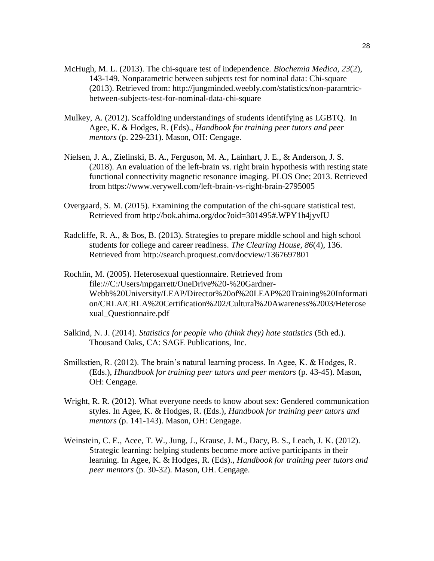- McHugh, M. L. (2013). The chi-square test of independence. *Biochemia Medica, 23*(2), 143-149. Nonparametric between subjects test for nominal data: Chi-square (2013). Retrieved from: [http://jungminded.weebly.com/statistics/non-paramtric](http://jungminded.weebly.com/statistics/non-paramtric-between-subjects-test-)[between-subjects-test-f](http://jungminded.weebly.com/statistics/non-paramtric-between-subjects-test-)or-nominal-data-chi-square
- Mulkey, A. (2012). Scaffolding understandings of students identifying as LGBTQ. In Agee, K. & Hodges, R. (Eds)., *Handbook for training peer tutors and peer mentors* (p. 229-231). Mason, OH: Cengage.
- Nielsen, J. A., Zielinski, B. A., Ferguson, M. A., Lainhart, J. E., & Anderson, J. S. (2018). [An evaluation of the left-brain vs. right brain hypothesis with resting state](http://journals.plos.org/plosone/article?id=10.1371/journal.pone.0071275)  [functional connectivity magnetic resonance imaging.](http://journals.plos.org/plosone/article?id=10.1371/journal.pone.0071275) PLOS One; 2013. Retrieved from https://www.verywell.com/left-brain-vs-right-brain-2795005
- Overgaard, S. M. (2015). Examining the computation of the chi-square statistical test. Retrieved from <http://bok.ahima.org/doc?oid=301495#.WPY1h4jyvIU>
- Radcliffe, R. A., & Bos, B. (2013). Strategies to prepare middle school and high school students for college and career readiness. *The Clearing House, 86*(4), 136. Retrieved from<http://search.proquest.com/docview/1367697801>
- Rochlin, M. (2005). Heterosexual questionnaire. Retrieved from [file:///C:/Users/mpgarrett/OneDrive%20-%20Gardner-](about:blank)[We](about:blank)bb%20University/LEAP/Director%20of%20LEAP%20Training%20Informati on/CRLA/CRLA%20Certification%202/Cultural%20Awareness%2003/Heterose xual\_Questionnaire.pdf
- Salkind, N. J. (2014). *Statistics for people who (think they) hate statistics* (5th ed.). Thousand Oaks, CA: SAGE Publications, Inc.
- Smilkstien, R. (2012). The brain's natural learning process. In Agee, K. & Hodges, R. (Eds.), *Hhandbook for training peer tutors and peer mentors* (p. 43-45). Mason, OH: Cengage.
- Wright, R. R. (2012). What everyone needs to know about sex: Gendered communication styles. In Agee, K. & Hodges, R. (Eds.), *Handbook for training peer tutors and mentors* (p. 141-143). Mason, OH: Cengage.
- Weinstein, C. E., Acee, T. W., Jung, J., Krause, J. M., Dacy, B. S., Leach, J. K. (2012). Strategic learning: helping students become more active participants in their learning. In Agee, K. & Hodges, R. (Eds)., *Handbook for training peer tutors and peer mentors* (p. 30-32). Mason, OH. Cengage.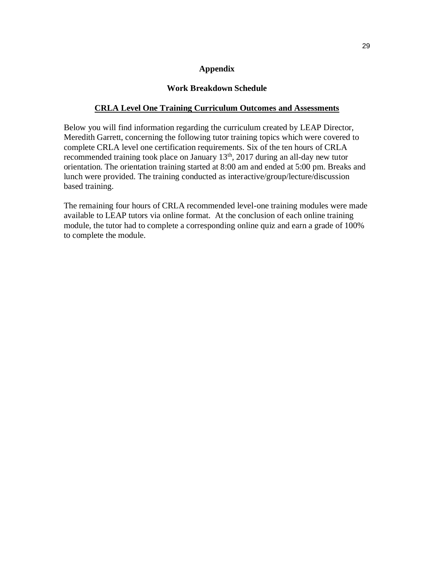#### **Appendix**

#### **Work Breakdown Schedule**

#### **CRLA Level One Training Curriculum Outcomes and Assessments**

Below you will find information regarding the curriculum created by LEAP Director, Meredith Garrett, concerning the following tutor training topics which were covered to complete CRLA level one certification requirements. Six of the ten hours of CRLA recommended training took place on January 13<sup>th</sup>, 2017 during an all-day new tutor orientation. The orientation training started at 8:00 am and ended at 5:00 pm. Breaks and lunch were provided. The training conducted as interactive/group/lecture/discussion based training.

The remaining four hours of CRLA recommended level-one training modules were made available to LEAP tutors via online format. At the conclusion of each online training module, the tutor had to complete a corresponding online quiz and earn a grade of 100% to complete the module.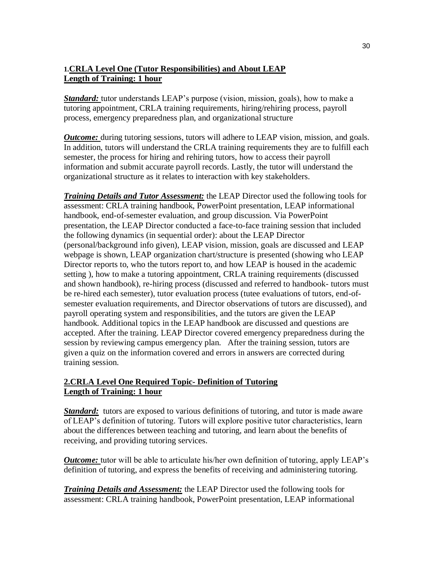## **1.CRLA Level One (Tutor Responsibilities) and About LEAP Length of Training: 1 hour**

*Standard:* tutor understands LEAP's purpose (vision, mission, goals), how to make a tutoring appointment, CRLA training requirements, hiring/rehiring process, payroll process, emergency preparedness plan, and organizational structure

*Outcome:* during tutoring sessions, tutors will adhere to LEAP vision, mission, and goals. In addition, tutors will understand the CRLA training requirements they are to fulfill each semester, the process for hiring and rehiring tutors, how to access their payroll information and submit accurate payroll records. Lastly, the tutor will understand the organizational structure as it relates to interaction with key stakeholders.

*Training Details and Tutor Assessment:* the LEAP Director used the following tools for assessment: CRLA training handbook, PowerPoint presentation, LEAP informational handbook, end-of-semester evaluation, and group discussion. Via PowerPoint presentation, the LEAP Director conducted a face-to-face training session that included the following dynamics (in sequential order): about the LEAP Director (personal/background info given), LEAP vision, mission, goals are discussed and LEAP webpage is shown, LEAP organization chart/structure is presented (showing who LEAP Director reports to, who the tutors report to, and how LEAP is housed in the academic setting ), how to make a tutoring appointment, CRLA training requirements (discussed and shown handbook), re-hiring process (discussed and referred to handbook- tutors must be re-hired each semester), tutor evaluation process (tutee evaluations of tutors, end-ofsemester evaluation requirements, and Director observations of tutors are discussed), and payroll operating system and responsibilities, and the tutors are given the LEAP handbook. Additional topics in the LEAP handbook are discussed and questions are accepted. After the training. LEAP Director covered emergency preparedness during the session by reviewing campus emergency plan. After the training session, tutors are given a quiz on the information covered and errors in answers are corrected during training session.

## **2.CRLA Level One Required Topic- Definition of Tutoring Length of Training: 1 hour**

**Standard:** tutors are exposed to various definitions of tutoring, and tutor is made aware of LEAP's definition of tutoring. Tutors will explore positive tutor characteristics, learn about the differences between teaching and tutoring, and learn about the benefits of receiving, and providing tutoring services.

*Outcome:* tutor will be able to articulate his/her own definition of tutoring, apply LEAP's definition of tutoring, and express the benefits of receiving and administering tutoring.

*Training Details and Assessment:* the LEAP Director used the following tools for assessment: CRLA training handbook, PowerPoint presentation, LEAP informational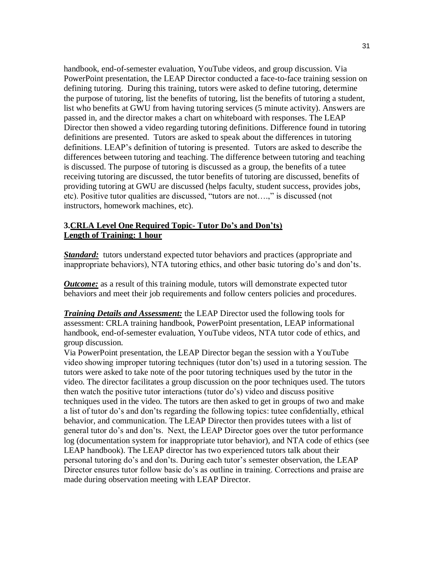handbook, end-of-semester evaluation, YouTube videos, and group discussion. Via PowerPoint presentation, the LEAP Director conducted a face-to-face training session on defining tutoring. During this training, tutors were asked to define tutoring, determine the purpose of tutoring, list the benefits of tutoring, list the benefits of tutoring a student, list who benefits at GWU from having tutoring services (5 minute activity). Answers are passed in, and the director makes a chart on whiteboard with responses. The LEAP Director then showed a video regarding tutoring definitions. Difference found in tutoring definitions are presented. Tutors are asked to speak about the differences in tutoring definitions. LEAP's definition of tutoring is presented. Tutors are asked to describe the differences between tutoring and teaching. The difference between tutoring and teaching is discussed. The purpose of tutoring is discussed as a group, the benefits of a tutee receiving tutoring are discussed, the tutor benefits of tutoring are discussed, benefits of providing tutoring at GWU are discussed (helps faculty, student success, provides jobs, etc). Positive tutor qualities are discussed, "tutors are not….," is discussed (not instructors, homework machines, etc).

## **3.CRLA Level One Required Topic- Tutor Do's and Don'ts) Length of Training: 1 hour**

**Standard:** tutors understand expected tutor behaviors and practices (appropriate and inappropriate behaviors), NTA tutoring ethics, and other basic tutoring do's and don'ts*.* 

*Outcome:* as a result of this training module, tutors will demonstrate expected tutor behaviors and meet their job requirements and follow centers policies and procedures.

*Training Details and Assessment:* the LEAP Director used the following tools for assessment: CRLA training handbook, PowerPoint presentation, LEAP informational handbook, end-of-semester evaluation, YouTube videos, NTA tutor code of ethics, and group discussion.

Via PowerPoint presentation, the LEAP Director began the session with a YouTube video showing improper tutoring techniques (tutor don'ts) used in a tutoring session. The tutors were asked to take note of the poor tutoring techniques used by the tutor in the video. The director facilitates a group discussion on the poor techniques used. The tutors then watch the positive tutor interactions (tutor do's) video and discuss positive techniques used in the video. The tutors are then asked to get in groups of two and make a list of tutor do's and don'ts regarding the following topics: tutee confidentially, ethical behavior, and communication. The LEAP Director then provides tutees with a list of general tutor do's and don'ts. Next, the LEAP Director goes over the tutor performance log (documentation system for inappropriate tutor behavior), and NTA code of ethics (see LEAP handbook). The LEAP director has two experienced tutors talk about their personal tutoring do's and don'ts. During each tutor's semester observation, the LEAP Director ensures tutor follow basic do's as outline in training. Corrections and praise are made during observation meeting with LEAP Director.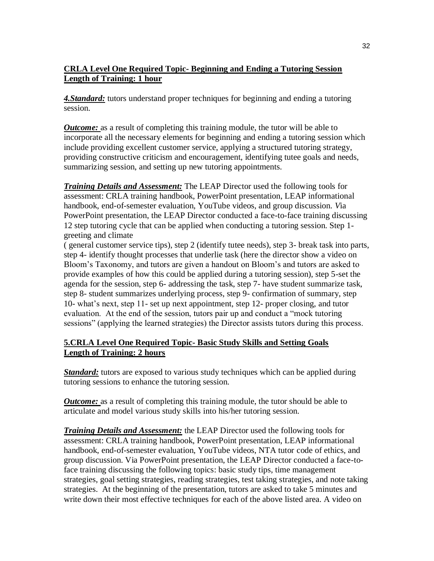## **CRLA Level One Required Topic- Beginning and Ending a Tutoring Session Length of Training: 1 hour**

*4.Standard:* tutors understand proper techniques for beginning and ending a tutoring session.

*Outcome:* as a result of completing this training module, the tutor will be able to incorporate all the necessary elements for beginning and ending a tutoring session which include providing excellent customer service, applying a structured tutoring strategy, providing constructive criticism and encouragement, identifying tutee goals and needs, summarizing session, and setting up new tutoring appointments.

*Training Details and Assessment:* The LEAP Director used the following tools for assessment: CRLA training handbook, PowerPoint presentation, LEAP informational handbook, end-of-semester evaluation, YouTube videos, and group discussion*. V*ia PowerPoint presentation, the LEAP Director conducted a face-to-face training discussing 12 step tutoring cycle that can be applied when conducting a tutoring session. Step 1 greeting and climate

( general customer service tips), step 2 (identify tutee needs), step 3- break task into parts, step 4- identify thought processes that underlie task (here the director show a video on Bloom's Taxonomy, and tutors are given a handout on Bloom's and tutors are asked to provide examples of how this could be applied during a tutoring session), step 5-set the agenda for the session, step 6- addressing the task, step 7- have student summarize task, step 8- student summarizes underlying process, step 9- confirmation of summary, step 10- what's next, step 11- set up next appointment, step 12- proper closing, and tutor evaluation. At the end of the session, tutors pair up and conduct a "mock tutoring sessions" (applying the learned strategies) the Director assists tutors during this process.

## **5.CRLA Level One Required Topic- Basic Study Skills and Setting Goals Length of Training: 2 hours**

*Standard:* tutors are exposed to various study techniques which can be applied during tutoring sessions to enhance the tutoring session.

*Outcome:* as a result of completing this training module, the tutor should be able to articulate and model various study skills into his/her tutoring session.

*Training Details and Assessment:* the LEAP Director used the following tools for assessment: CRLA training handbook, PowerPoint presentation, LEAP informational handbook, end-of-semester evaluation, YouTube videos, NTA tutor code of ethics, and group discussion. Via PowerPoint presentation, the LEAP Director conducted a face-toface training discussing the following topics: basic study tips, time management strategies, goal setting strategies, reading strategies, test taking strategies, and note taking strategies. At the beginning of the presentation, tutors are asked to take 5 minutes and write down their most effective techniques for each of the above listed area. A video on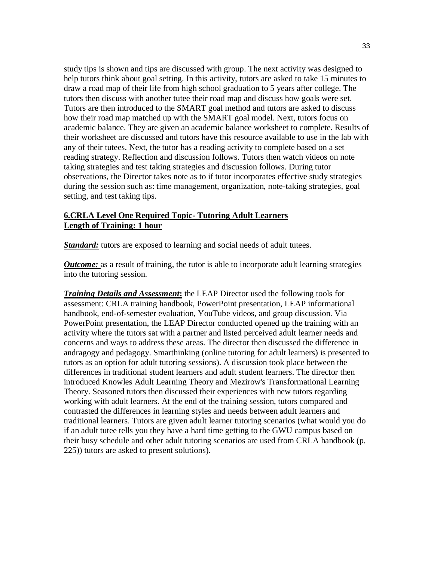study tips is shown and tips are discussed with group. The next activity was designed to help tutors think about goal setting. In this activity, tutors are asked to take 15 minutes to draw a road map of their life from high school graduation to 5 years after college. The tutors then discuss with another tutee their road map and discuss how goals were set. Tutors are then introduced to the SMART goal method and tutors are asked to discuss how their road map matched up with the SMART goal model. Next, tutors focus on academic balance. They are given an academic balance worksheet to complete. Results of their worksheet are discussed and tutors have this resource available to use in the lab with any of their tutees. Next, the tutor has a reading activity to complete based on a set reading strategy. Reflection and discussion follows. Tutors then watch videos on note taking strategies and test taking strategies and discussion follows. During tutor observations, the Director takes note as to if tutor incorporates effective study strategies during the session such as: time management, organization, note-taking strategies, goal setting, and test taking tips.

#### **6.CRLA Level One Required Topic- Tutoring Adult Learners Length of Training: 1 hour**

*Standard:* tutors are exposed to learning and social needs of adult tutees.

*Outcome:* as a result of training, the tutor is able to incorporate adult learning strategies into the tutoring session.

*Training Details and Assessment***:** the LEAP Director used the following tools for assessment: CRLA training handbook, PowerPoint presentation, LEAP informational handbook, end-of-semester evaluation, YouTube videos, and group discussion. Via PowerPoint presentation, the LEAP Director conducted opened up the training with an activity where the tutors sat with a partner and listed perceived adult learner needs and concerns and ways to address these areas. The director then discussed the difference in andragogy and pedagogy. Smarthinking (online tutoring for adult learners) is presented to tutors as an option for adult tutoring sessions). A discussion took place between the differences in traditional student learners and adult student learners. The director then introduced Knowles Adult Learning Theory and Mezirow's Transformational Learning Theory. Seasoned tutors then discussed their experiences with new tutors regarding working with adult learners. At the end of the training session, tutors compared and contrasted the differences in learning styles and needs between adult learners and traditional learners. Tutors are given adult learner tutoring scenarios (what would you do if an adult tutee tells you they have a hard time getting to the GWU campus based on their busy schedule and other adult tutoring scenarios are used from CRLA handbook (p. 225)) tutors are asked to present solutions).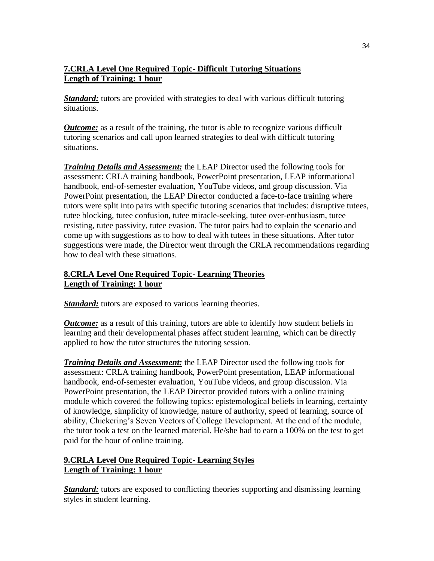## **7.CRLA Level One Required Topic- Difficult Tutoring Situations Length of Training: 1 hour**

*Standard:* tutors are provided with strategies to deal with various difficult tutoring situations.

*Outcome:* as a result of the training, the tutor is able to recognize various difficult tutoring scenarios and call upon learned strategies to deal with difficult tutoring situations.

*Training Details and Assessment:* the LEAP Director used the following tools for assessment: CRLA training handbook, PowerPoint presentation, LEAP informational handbook, end-of-semester evaluation, YouTube videos, and group discussion. Via PowerPoint presentation, the LEAP Director conducted a face-to-face training where tutors were split into pairs with specific tutoring scenarios that includes: disruptive tutees, tutee blocking, tutee confusion, tutee miracle-seeking, tutee over-enthusiasm, tutee resisting, tutee passivity, tutee evasion. The tutor pairs had to explain the scenario and come up with suggestions as to how to deal with tutees in these situations. After tutor suggestions were made, the Director went through the CRLA recommendations regarding how to deal with these situations.

## **8.CRLA Level One Required Topic- Learning Theories Length of Training: 1 hour**

**Standard:** tutors are exposed to various learning theories.

*Outcome:* as a result of this training, tutors are able to identify how student beliefs in learning and their developmental phases affect student learning, which can be directly applied to how the tutor structures the tutoring session.

*Training Details and Assessment:* the LEAP Director used the following tools for assessment: CRLA training handbook, PowerPoint presentation, LEAP informational handbook, end-of-semester evaluation, YouTube videos, and group discussion. Via PowerPoint presentation, the LEAP Director provided tutors with a online training module which covered the following topics: epistemological beliefs in learning, certainty of knowledge, simplicity of knowledge, nature of authority, speed of learning, source of ability, Chickering's Seven Vectors of College Development. At the end of the module, the tutor took a test on the learned material. He/she had to earn a 100% on the test to get paid for the hour of online training.

## **9.CRLA Level One Required Topic- Learning Styles Length of Training: 1 hour**

**Standard:** tutors are exposed to conflicting theories supporting and dismissing learning styles in student learning.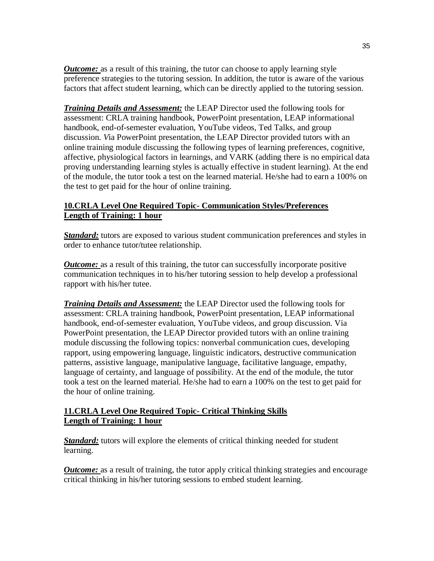*Outcome:* as a result of this training, the tutor can choose to apply learning style preference strategies to the tutoring session. In addition, the tutor is aware of the various factors that affect student learning, which can be directly applied to the tutoring session.

*Training Details and Assessment:* the LEAP Director used the following tools for assessment: CRLA training handbook, PowerPoint presentation, LEAP informational handbook, end-of-semester evaluation, YouTube videos, Ted Talks, and group discussion. *V*ia PowerPoint presentation, the LEAP Director provided tutors with an online training module discussing the following types of learning preferences, cognitive, affective, physiological factors in learnings, and VARK (adding there is no empirical data proving understanding learning styles is actually effective in student learning). At the end of the module, the tutor took a test on the learned material. He/she had to earn a 100% on the test to get paid for the hour of online training.

#### **10.CRLA Level One Required Topic- Communication Styles/Preferences Length of Training: 1 hour**

**Standard:** tutors are exposed to various student communication preferences and styles in order to enhance tutor/tutee relationship.

*Outcome:* as a result of this training, the tutor can successfully incorporate positive communication techniques in to his/her tutoring session to help develop a professional rapport with his/her tutee.

*Training Details and Assessment:* the LEAP Director used the following tools for assessment: CRLA training handbook, PowerPoint presentation, LEAP informational handbook, end-of-semester evaluation, YouTube videos, and group discussion. Via PowerPoint presentation, the LEAP Director provided tutors with an online training module discussing the following topics: nonverbal communication cues, developing rapport, using empowering language, linguistic indicators, destructive communication patterns, assistive language, manipulative language, facilitative language, empathy, language of certainty, and language of possibility. At the end of the module, the tutor took a test on the learned material. He/she had to earn a 100% on the test to get paid for the hour of online training.

## **11.CRLA Level One Required Topic- Critical Thinking Skills Length of Training: 1 hour**

*Standard:* tutors will explore the elements of critical thinking needed for student learning.

*Outcome:* as a result of training, the tutor apply critical thinking strategies and encourage critical thinking in his/her tutoring sessions to embed student learning.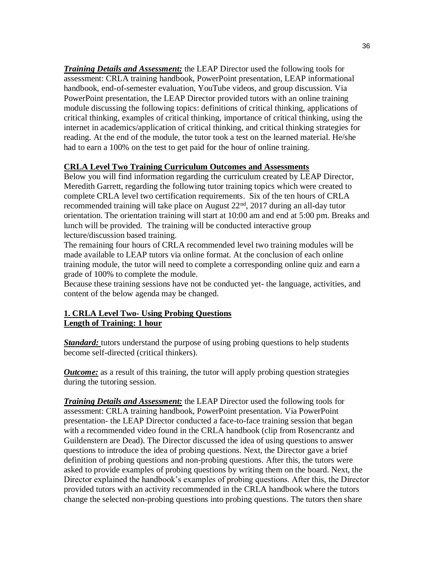*Training Details and Assessment:* the LEAP Director used the following tools for assessment: CRLA training handbook, PowerPoint presentation, LEAP informational handbook, end-of-semester evaluation, YouTube videos, and group discussion. Via PowerPoint presentation, the LEAP Director provided tutors with an online training module discussing the following topics: definitions of critical thinking, applications of critical thinking, examples of critical thinking, importance of critical thinking, using the internet in academics/application of critical thinking, and critical thinking strategies for reading. At the end of the module, the tutor took a test on the learned material. He/she had to earn a 100% on the test to get paid for the hour of online training.

#### **CRLA Level Two Training Curriculum Outcomes and Assessments**

Below you will find information regarding the curriculum created by LEAP Director, Meredith Garrett, regarding the following tutor training topics which were created to complete CRLA level two certification requirements. Six of the ten hours of CRLA recommended training will take place on August 22<sup>nd</sup>, 2017 during an all-day tutor orientation. The orientation training will start at 10:00 am and end at 5:00 pm. Breaks and lunch will be provided. The training will be conducted interactive group lecture/discussion based training.

The remaining four hours of CRLA recommended level two training modules will be made available to LEAP tutors via online format. At the conclusion of each online training module, the tutor will need to complete a corresponding online quiz and earn a grade of 100% to complete the module.

Because these training sessions have not be conducted yet- the language, activities, and content of the below agenda may be changed.

## **1. CRLA Level Two- Using Probing Questions Length of Training: 1 hour**

**Standard:** tutors understand the purpose of using probing questions to help students become self-directed (critical thinkers).

*Outcome:* as a result of this training, the tutor will apply probing question strategies during the tutoring session.

*Training Details and Assessment:* the LEAP Director used the following tools for assessment: CRLA training handbook, PowerPoint presentation. Via PowerPoint presentation- the LEAP Director conducted a face-to-face training session that began with a recommended video found in the CRLA handbook (clip from Rosencrantz and Guildenstern are Dead). The Director discussed the idea of using questions to answer questions to introduce the idea of probing questions. Next, the Director gave a brief definition of probing questions and non-probing questions. After this, the tutors were asked to provide examples of probing questions by writing them on the board. Next, the Director explained the handbook's examples of probing questions. After this, the Director provided tutors with an activity recommended in the CRLA handbook where the tutors change the selected non-probing questions into probing questions. The tutors then share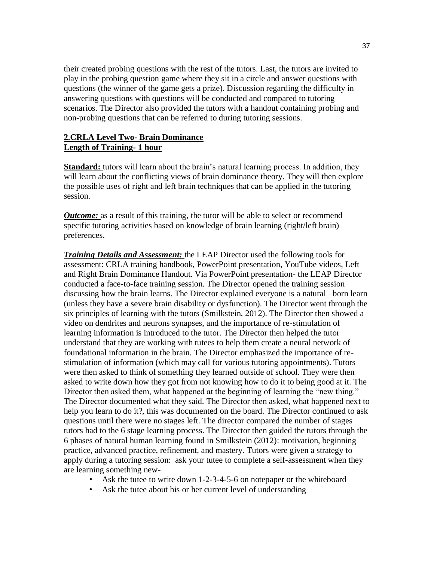their created probing questions with the rest of the tutors. Last, the tutors are invited to play in the probing question game where they sit in a circle and answer questions with questions (the winner of the game gets a prize). Discussion regarding the difficulty in answering questions with questions will be conducted and compared to tutoring scenarios. The Director also provided the tutors with a handout containing probing and non-probing questions that can be referred to during tutoring sessions.

## **2.CRLA Level Two- Brain Dominance Length of Training- 1 hour**

**Standard:** tutors will learn about the brain's natural learning process. In addition, they will learn about the conflicting views of brain dominance theory. They will then explore the possible uses of right and left brain techniques that can be applied in the tutoring session.

*Outcome:* as a result of this training, the tutor will be able to select or recommend specific tutoring activities based on knowledge of brain learning (right/left brain) preferences.

*Training Details and Assessment:* the LEAP Director used the following tools for assessment: CRLA training handbook, PowerPoint presentation, YouTube videos, Left and Right Brain Dominance Handout. Via PowerPoint presentation- the LEAP Director conducted a face-to-face training session. The Director opened the training session discussing how the brain learns. The Director explained everyone is a natural –born learn (unless they have a severe brain disability or dysfunction). The Director went through the six principles of learning with the tutors (Smilkstein, 2012). The Director then showed a video on dendrites and neurons synapses, and the importance of re-stimulation of learning information is introduced to the tutor. The Director then helped the tutor understand that they are working with tutees to help them create a neural network of foundational information in the brain. The Director emphasized the importance of restimulation of information (which may call for various tutoring appointments). Tutors were then asked to think of something they learned outside of school. They were then asked to write down how they got from not knowing how to do it to being good at it. The Director then asked them, what happened at the beginning of learning the "new thing." The Director documented what they said. The Director then asked, what happened next to help you learn to do it?, this was documented on the board. The Director continued to ask questions until there were no stages left. The director compared the number of stages tutors had to the 6 stage learning process. The Director then guided the tutors through the 6 phases of natural human learning found in Smilkstein (2012): motivation, beginning practice, advanced practice, refinement, and mastery. Tutors were given a strategy to apply during a tutoring session: ask your tutee to complete a self-assessment when they are learning something new-

- Ask the tutee to write down 1-2-3-4-5-6 on notepaper or the whiteboard
- Ask the tutee about his or her current level of understanding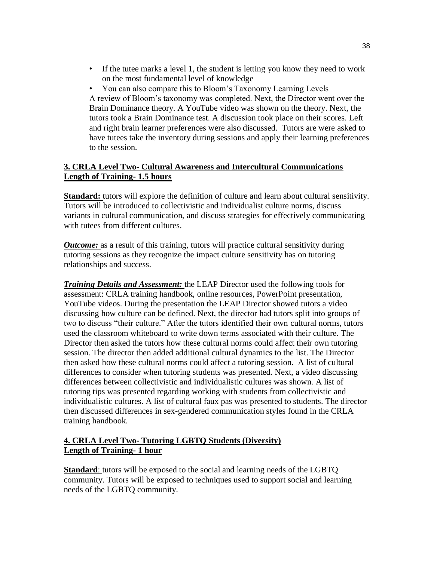- If the tutee marks a level 1, the student is letting you know they need to work on the most fundamental level of knowledge
- You can also compare this to Bloom's Taxonomy Learning Levels A review of Bloom's taxonomy was completed. Next, the Director went over the Brain Dominance theory. A YouTube video was shown on the theory. Next, the tutors took a Brain Dominance test. A discussion took place on their scores. Left and right brain learner preferences were also discussed. Tutors are were asked to have tutees take the inventory during sessions and apply their learning preferences to the session.

## **3. CRLA Level Two- Cultural Awareness and Intercultural Communications Length of Training- 1.5 hours**

**Standard:** tutors will explore the definition of culture and learn about cultural sensitivity. Tutors will be introduced to collectivistic and individualist culture norms, discuss variants in cultural communication, and discuss strategies for effectively communicating with tutees from different cultures.

*Outcome:* as a result of this training, tutors will practice cultural sensitivity during tutoring sessions as they recognize the impact culture sensitivity has on tutoring relationships and success.

*Training Details and Assessment:* the LEAP Director used the following tools for assessment: CRLA training handbook, online resources, PowerPoint presentation, YouTube videos. During the presentation the LEAP Director showed tutors a video discussing how culture can be defined. Next, the director had tutors split into groups of two to discuss "their culture." After the tutors identified their own cultural norms, tutors used the classroom whiteboard to write down terms associated with their culture. The Director then asked the tutors how these cultural norms could affect their own tutoring session. The director then added additional cultural dynamics to the list. The Director then asked how these cultural norms could affect a tutoring session. A list of cultural differences to consider when tutoring students was presented. Next, a video discussing differences between collectivistic and individualistic cultures was shown. A list of tutoring tips was presented regarding working with students from collectivistic and individualistic cultures. A list of cultural faux pas was presented to students. The director then discussed differences in sex-gendered communication styles found in the CRLA training handbook.

## **4. CRLA Level Two- Tutoring LGBTQ Students (Diversity) Length of Training- 1 hour**

**Standard:** tutors will be exposed to the social and learning needs of the LGBTQ community. Tutors will be exposed to techniques used to support social and learning needs of the LGBTQ community.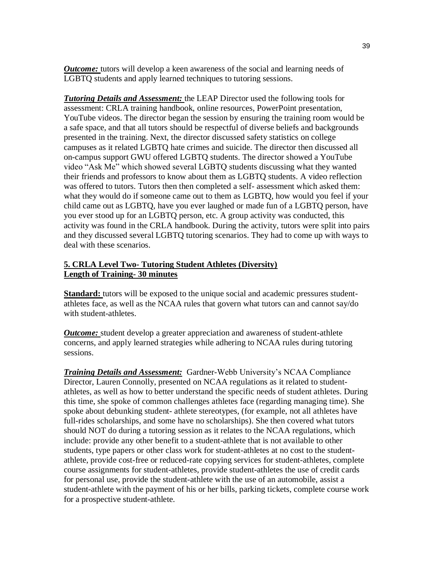*Outcome:* tutors will develop a keen awareness of the social and learning needs of LGBTQ students and apply learned techniques to tutoring sessions.

*Tutoring Details and Assessment:* the LEAP Director used the following tools for assessment: CRLA training handbook, online resources, PowerPoint presentation, YouTube videos. The director began the session by ensuring the training room would be a safe space, and that all tutors should be respectful of diverse beliefs and backgrounds presented in the training. Next, the director discussed safety statistics on college campuses as it related LGBTQ hate crimes and suicide. The director then discussed all on-campus support GWU offered LGBTQ students. The director showed a YouTube video "Ask Me" which showed several LGBTQ students discussing what they wanted their friends and professors to know about them as LGBTQ students. A video reflection was offered to tutors. Tutors then then completed a self- assessment which asked them: what they would do if someone came out to them as LGBTQ, how would you feel if your child came out as LGBTQ, have you ever laughed or made fun of a LGBTQ person, have you ever stood up for an LGBTQ person, etc. A group activity was conducted, this activity was found in the CRLA handbook. During the activity, tutors were split into pairs and they discussed several LGBTQ tutoring scenarios. They had to come up with ways to deal with these scenarios.

## **5. CRLA Level Two- Tutoring Student Athletes (Diversity) Length of Training- 30 minutes**

**Standard:** tutors will be exposed to the unique social and academic pressures studentathletes face, as well as the NCAA rules that govern what tutors can and cannot say/do with student-athletes.

*Outcome:* student develop a greater appreciation and awareness of student-athlete concerns, and apply learned strategies while adhering to NCAA rules during tutoring sessions.

*Training Details and Assessment:* Gardner-Webb University's NCAA Compliance Director, Lauren Connolly, presented on NCAA regulations as it related to studentathletes, as well as how to better understand the specific needs of student athletes. During this time, she spoke of common challenges athletes face (regarding managing time). She spoke about debunking student- athlete stereotypes, (for example, not all athletes have full-rides scholarships, and some have no scholarships). She then covered what tutors should NOT do during a tutoring session as it relates to the NCAA regulations, which include: provide any other benefit to a student-athlete that is not available to other students, type papers or other class work for student-athletes at no cost to the studentathlete, provide cost-free or reduced-rate copying services for student-athletes, complete course assignments for student-athletes, provide student-athletes the use of credit cards for personal use, provide the student-athlete with the use of an automobile, assist a student-athlete with the payment of his or her bills, parking tickets, complete course work for a prospective student-athlete.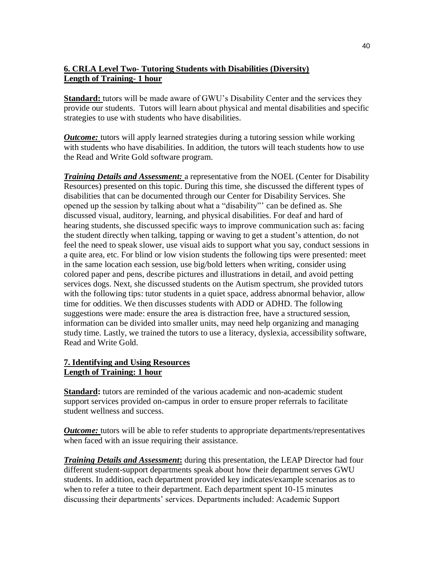## **6. CRLA Level Two- Tutoring Students with Disabilities (Diversity) Length of Training- 1 hour**

**Standard:** tutors will be made aware of GWU's Disability Center and the services they provide our students. Tutors will learn about physical and mental disabilities and specific strategies to use with students who have disabilities.

*Outcome:* tutors will apply learned strategies during a tutoring session while working with students who have disabilities. In addition, the tutors will teach students how to use the Read and Write Gold software program.

*Training Details and Assessment:* a representative from the NOEL (Center for Disability Resources) presented on this topic. During this time, she discussed the different types of disabilities that can be documented through our Center for Disability Services. She opened up the session by talking about what a "disability"' can be defined as. She discussed visual, auditory, learning, and physical disabilities. For deaf and hard of hearing students, she discussed specific ways to improve communication such as: facing the student directly when talking, tapping or waving to get a student's attention, do not feel the need to speak slower, use visual aids to support what you say, conduct sessions in a quite area, etc. For blind or low vision students the following tips were presented: meet in the same location each session, use big/bold letters when writing, consider using colored paper and pens, describe pictures and illustrations in detail, and avoid petting services dogs. Next, she discussed students on the Autism spectrum, she provided tutors with the following tips: tutor students in a quiet space, address abnormal behavior, allow time for oddities. We then discusses students with ADD or ADHD. The following suggestions were made: ensure the area is distraction free, have a structured session, information can be divided into smaller units, may need help organizing and managing study time. Lastly, we trained the tutors to use a literacy, dyslexia, accessibility software, Read and Write Gold.

## **7. Identifying and Using Resources Length of Training: 1 hour**

**Standard:** tutors are reminded of the various academic and non-academic student support services provided on-campus in order to ensure proper referrals to facilitate student wellness and success.

*Outcome:* tutors will be able to refer students to appropriate departments/representatives when faced with an issue requiring their assistance.

*Training Details and Assessment***:** during this presentation, the LEAP Director had four different student-support departments speak about how their department serves GWU students. In addition, each department provided key indicates/example scenarios as to when to refer a tutee to their department. Each department spent 10-15 minutes discussing their departments' services. Departments included: Academic Support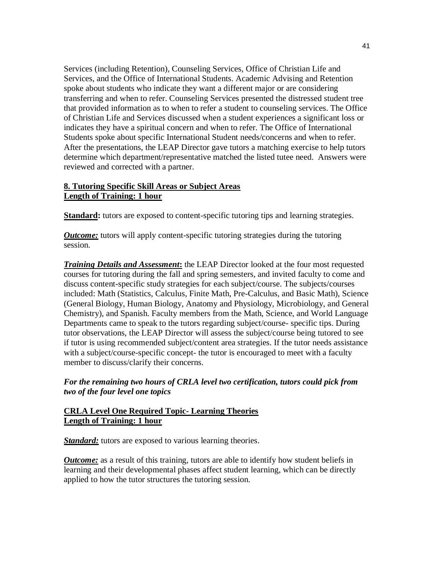Services (including Retention), Counseling Services, Office of Christian Life and Services, and the Office of International Students. Academic Advising and Retention spoke about students who indicate they want a different major or are considering transferring and when to refer. Counseling Services presented the distressed student tree that provided information as to when to refer a student to counseling services. The Office of Christian Life and Services discussed when a student experiences a significant loss or indicates they have a spiritual concern and when to refer. The Office of International Students spoke about specific International Student needs/concerns and when to refer. After the presentations, the LEAP Director gave tutors a matching exercise to help tutors determine which department/representative matched the listed tutee need. Answers were reviewed and corrected with a partner.

## **8. Tutoring Specific Skill Areas or Subject Areas Length of Training: 1 hour**

**Standard:** tutors are exposed to content-specific tutoring tips and learning strategies.

*Outcome:* tutors will apply content-specific tutoring strategies during the tutoring session.

*Training Details and Assessment***:** the LEAP Director looked at the four most requested courses for tutoring during the fall and spring semesters, and invited faculty to come and discuss content-specific study strategies for each subject/course. The subjects/courses included: Math (Statistics, Calculus, Finite Math, Pre-Calculus, and Basic Math), Science (General Biology, Human Biology, Anatomy and Physiology, Microbiology, and General Chemistry), and Spanish. Faculty members from the Math, Science, and World Language Departments came to speak to the tutors regarding subject/course- specific tips. During tutor observations, the LEAP Director will assess the subject/course being tutored to see if tutor is using recommended subject/content area strategies. If the tutor needs assistance with a subject/course-specific concept- the tutor is encouraged to meet with a faculty member to discuss/clarify their concerns.

## *For the remaining two hours of CRLA level two certification, tutors could pick from two of the four level one topics*

## **CRLA Level One Required Topic- Learning Theories Length of Training: 1 hour**

*Standard:* tutors are exposed to various learning theories.

*Outcome:* as a result of this training, tutors are able to identify how student beliefs in learning and their developmental phases affect student learning, which can be directly applied to how the tutor structures the tutoring session.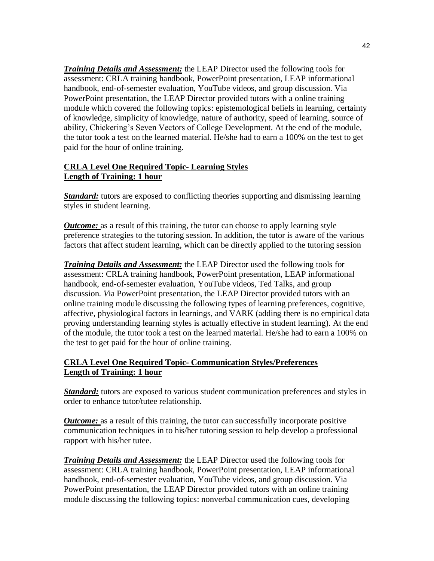*Training Details and Assessment:* the LEAP Director used the following tools for assessment: CRLA training handbook, PowerPoint presentation, LEAP informational handbook, end-of-semester evaluation, YouTube videos, and group discussion. Via PowerPoint presentation, the LEAP Director provided tutors with a online training module which covered the following topics: epistemological beliefs in learning, certainty of knowledge, simplicity of knowledge, nature of authority, speed of learning, source of ability, Chickering's Seven Vectors of College Development. At the end of the module, the tutor took a test on the learned material. He/she had to earn a 100% on the test to get paid for the hour of online training.

### **CRLA Level One Required Topic- Learning Styles Length of Training: 1 hour**

*Standard:* tutors are exposed to conflicting theories supporting and dismissing learning styles in student learning.

*Outcome:* as a result of this training, the tutor can choose to apply learning style preference strategies to the tutoring session. In addition, the tutor is aware of the various factors that affect student learning, which can be directly applied to the tutoring session

*Training Details and Assessment:* the LEAP Director used the following tools for assessment: CRLA training handbook, PowerPoint presentation, LEAP informational handbook, end-of-semester evaluation, YouTube videos, Ted Talks, and group discussion. *V*ia PowerPoint presentation, the LEAP Director provided tutors with an online training module discussing the following types of learning preferences, cognitive, affective, physiological factors in learnings, and VARK (adding there is no empirical data proving understanding learning styles is actually effective in student learning). At the end of the module, the tutor took a test on the learned material. He/she had to earn a 100% on the test to get paid for the hour of online training.

## **CRLA Level One Required Topic- Communication Styles/Preferences Length of Training: 1 hour**

*Standard:* tutors are exposed to various student communication preferences and styles in order to enhance tutor/tutee relationship.

*Outcome:* as a result of this training, the tutor can successfully incorporate positive communication techniques in to his/her tutoring session to help develop a professional rapport with his/her tutee.

*Training Details and Assessment:* the LEAP Director used the following tools for assessment: CRLA training handbook, PowerPoint presentation, LEAP informational handbook, end-of-semester evaluation, YouTube videos, and group discussion. Via PowerPoint presentation, the LEAP Director provided tutors with an online training module discussing the following topics: nonverbal communication cues, developing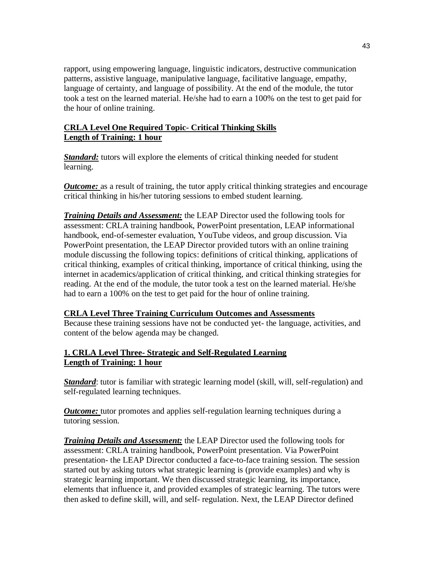rapport, using empowering language, linguistic indicators, destructive communication patterns, assistive language, manipulative language, facilitative language, empathy, language of certainty, and language of possibility. At the end of the module, the tutor took a test on the learned material. He/she had to earn a 100% on the test to get paid for the hour of online training.

## **CRLA Level One Required Topic- Critical Thinking Skills Length of Training: 1 hour**

**Standard:** tutors will explore the elements of critical thinking needed for student learning.

*Outcome:* as a result of training, the tutor apply critical thinking strategies and encourage critical thinking in his/her tutoring sessions to embed student learning.

*Training Details and Assessment:* the LEAP Director used the following tools for assessment: CRLA training handbook, PowerPoint presentation, LEAP informational handbook, end-of-semester evaluation, YouTube videos, and group discussion. Via PowerPoint presentation, the LEAP Director provided tutors with an online training module discussing the following topics: definitions of critical thinking, applications of critical thinking, examples of critical thinking, importance of critical thinking, using the internet in academics/application of critical thinking, and critical thinking strategies for reading. At the end of the module, the tutor took a test on the learned material. He/she had to earn a 100% on the test to get paid for the hour of online training.

## **CRLA Level Three Training Curriculum Outcomes and Assessments**

Because these training sessions have not be conducted yet- the language, activities, and content of the below agenda may be changed.

## **1. CRLA Level Three- Strategic and Self-Regulated Learning Length of Training: 1 hour**

*Standard*: tutor is familiar with strategic learning model (skill, will, self-regulation) and self-regulated learning techniques.

*Outcome:* tutor promotes and applies self-regulation learning techniques during a tutoring session.

*Training Details and Assessment:* the LEAP Director used the following tools for assessment: CRLA training handbook, PowerPoint presentation. Via PowerPoint presentation- the LEAP Director conducted a face-to-face training session. The session started out by asking tutors what strategic learning is (provide examples) and why is strategic learning important. We then discussed strategic learning, its importance, elements that influence it, and provided examples of strategic learning. The tutors were then asked to define skill, will, and self- regulation. Next, the LEAP Director defined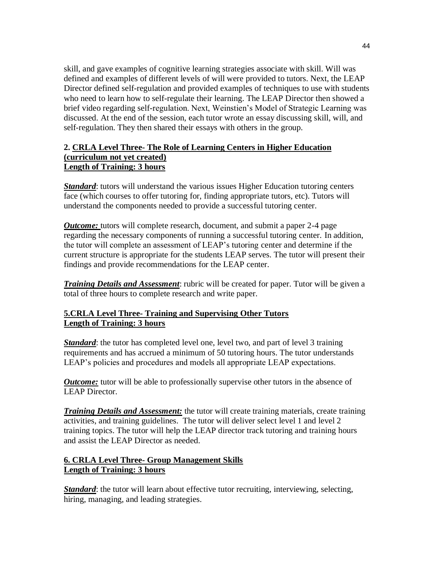skill, and gave examples of cognitive learning strategies associate with skill. Will was defined and examples of different levels of will were provided to tutors. Next, the LEAP Director defined self-regulation and provided examples of techniques to use with students who need to learn how to self-regulate their learning. The LEAP Director then showed a brief video regarding self-regulation. Next, Weinstien's Model of Strategic Learning was discussed. At the end of the session, each tutor wrote an essay discussing skill, will, and self-regulation. They then shared their essays with others in the group.

#### **2. CRLA Level Three- The Role of Learning Centers in Higher Education (curriculum not yet created) Length of Training: 3 hours**

*Standard*: tutors will understand the various issues Higher Education tutoring centers face (which courses to offer tutoring for, finding appropriate tutors, etc). Tutors will understand the components needed to provide a successful tutoring center.

*Outcome:* tutors will complete research, document, and submit a paper 2-4 page regarding the necessary components of running a successful tutoring center. In addition, the tutor will complete an assessment of LEAP's tutoring center and determine if the current structure is appropriate for the students LEAP serves. The tutor will present their findings and provide recommendations for the LEAP center.

*Training Details and Assessment*: rubric will be created for paper. Tutor will be given a total of three hours to complete research and write paper.

## **5.CRLA Level Three- Training and Supervising Other Tutors Length of Training: 3 hours**

**Standard**: the tutor has completed level one, level two, and part of level 3 training requirements and has accrued a minimum of 50 tutoring hours. The tutor understands LEAP's policies and procedures and models all appropriate LEAP expectations.

*Outcome:* tutor will be able to professionally supervise other tutors in the absence of LEAP Director.

*Training Details and Assessment:* the tutor will create training materials, create training activities, and training guidelines. The tutor will deliver select level 1 and level 2 training topics. The tutor will help the LEAP director track tutoring and training hours and assist the LEAP Director as needed.

## **6. CRLA Level Three- Group Management Skills Length of Training: 3 hours**

*Standard*: the tutor will learn about effective tutor recruiting, interviewing, selecting, hiring, managing, and leading strategies.